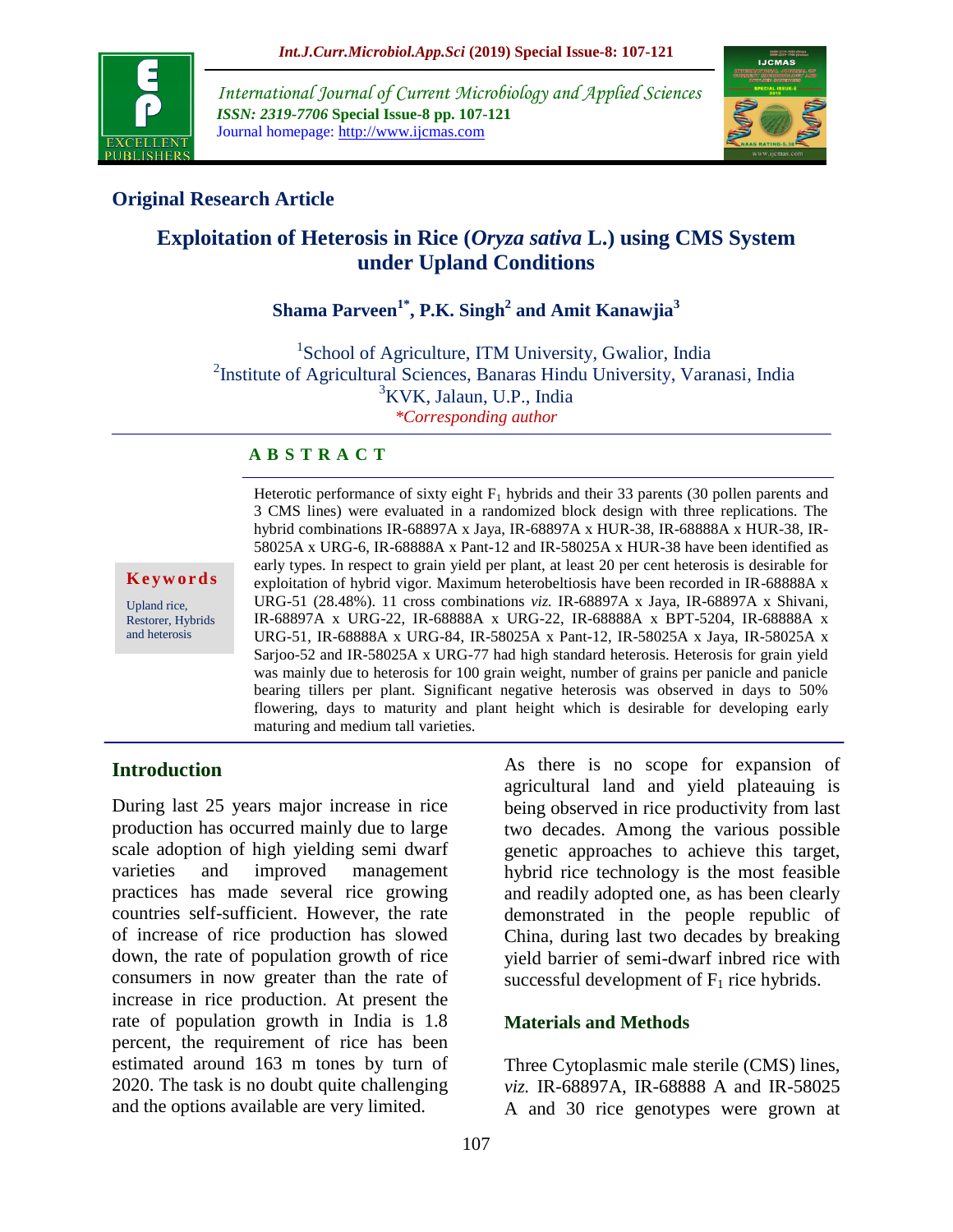

*International Journal of Current Microbiology and Applied Sciences ISSN: 2319-7706* **Special Issue-8 pp. 107-121** Journal homepage: http://www.ijcmas.com



## **Original Research Article**

# **Exploitation of Heterosis in Rice (***Oryza sativa* **L.) using CMS System under Upland Conditions**

## **Shama Parveen1\* , P.K. Singh<sup>2</sup> and Amit Kanawjia<sup>3</sup>**

<sup>1</sup>School of Agriculture, ITM University, Gwalior, India <sup>2</sup>Institute of Agricultural Sciences, Banaras Hindu University, Varanasi, India <sup>3</sup>KVK, Jalaun, U.P., India *\*Corresponding author*

#### **A B S T R A C T**

**K e y w o r d s**

Upland rice, Restorer, Hybrids and heterosis

Heterotic performance of sixty eight  $F_1$  hybrids and their 33 parents (30 pollen parents and 3 CMS lines) were evaluated in a randomized block design with three replications. The hybrid combinations IR-68897A x Jaya, IR-68897A x HUR-38, IR-68888A x HUR-38, IR-58025A x URG-6, IR-68888A x Pant-12 and IR-58025A x HUR-38 have been identified as early types. In respect to grain yield per plant, at least 20 per cent heterosis is desirable for exploitation of hybrid vigor. Maximum heterobeltiosis have been recorded in IR-68888A x URG-51 (28.48%). 11 cross combinations *viz.* IR-68897A x Jaya, IR-68897A x Shivani, IR-68897A x URG-22, IR-68888A x URG-22, IR-68888A x BPT-5204, IR-68888A x URG-51, IR-68888A x URG-84, IR-58025A x Pant-12, IR-58025A x Jaya, IR-58025A x Sarjoo-52 and IR-58025A x URG-77 had high standard heterosis. Heterosis for grain yield was mainly due to heterosis for 100 grain weight, number of grains per panicle and panicle bearing tillers per plant. Significant negative heterosis was observed in days to 50% flowering, days to maturity and plant height which is desirable for developing early maturing and medium tall varieties.

#### **Introduction**

During last 25 years major increase in rice production has occurred mainly due to large scale adoption of high yielding semi dwarf varieties and improved management practices has made several rice growing countries self-sufficient. However, the rate of increase of rice production has slowed down, the rate of population growth of rice consumers in now greater than the rate of increase in rice production. At present the rate of population growth in India is 1.8 percent, the requirement of rice has been estimated around 163 m tones by turn of 2020. The task is no doubt quite challenging and the options available are very limited.

As there is no scope for expansion of agricultural land and yield plateauing is being observed in rice productivity from last two decades. Among the various possible genetic approaches to achieve this target, hybrid rice technology is the most feasible and readily adopted one, as has been clearly demonstrated in the people republic of China, during last two decades by breaking yield barrier of semi-dwarf inbred rice with successful development of  $F_1$  rice hybrids.

#### **Materials and Methods**

Three Cytoplasmic male sterile (CMS) lines, *viz.* IR-68897A, IR-68888 A and IR-58025 A and 30 rice genotypes were grown at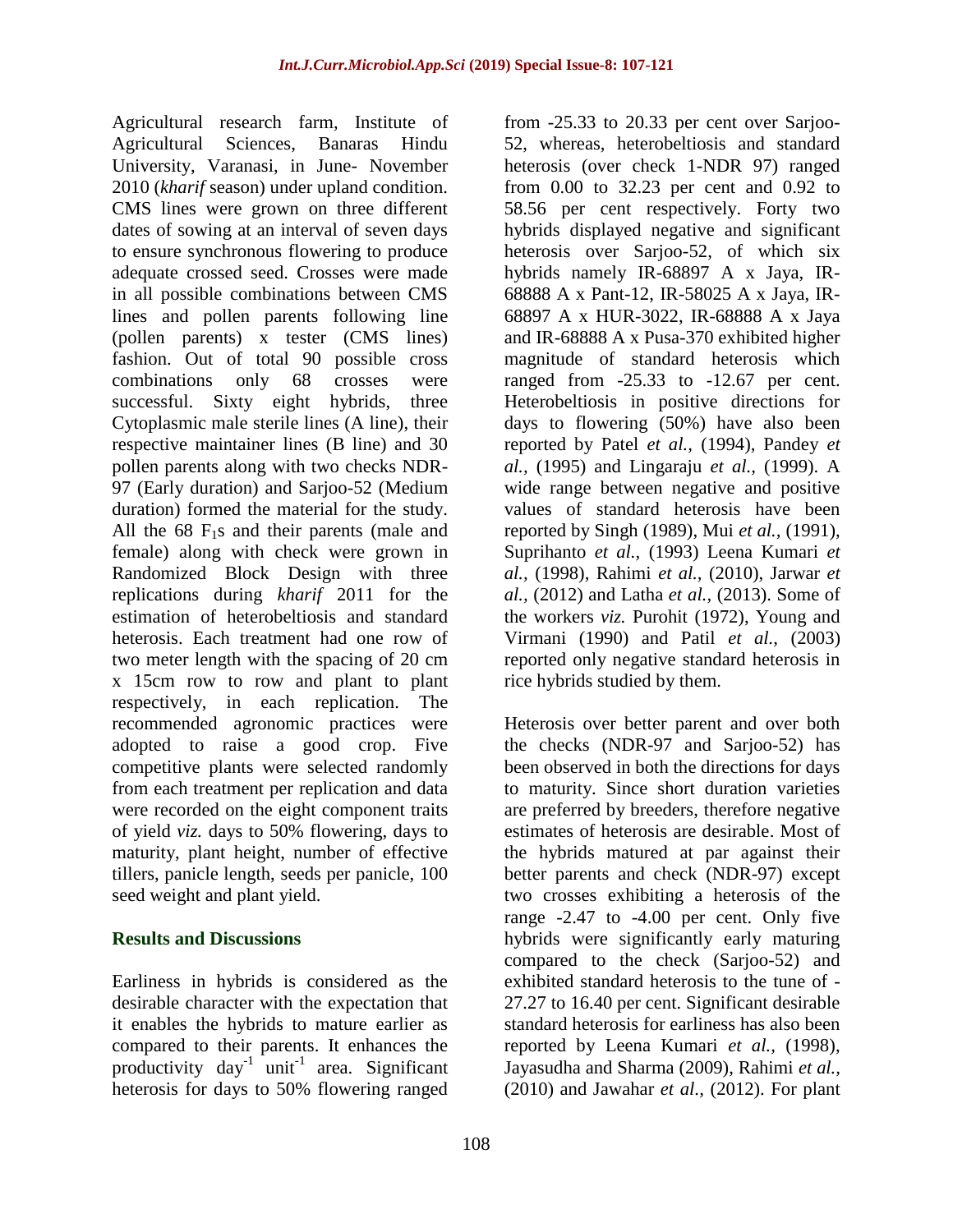Agricultural research farm, Institute of Agricultural Sciences, Banaras Hindu University, Varanasi, in June- November 2010 (*kharif* season) under upland condition. CMS lines were grown on three different dates of sowing at an interval of seven days to ensure synchronous flowering to produce adequate crossed seed. Crosses were made in all possible combinations between CMS lines and pollen parents following line (pollen parents) x tester (CMS lines) fashion. Out of total 90 possible cross combinations only 68 crosses were successful. Sixty eight hybrids, three Cytoplasmic male sterile lines (A line), their respective maintainer lines (B line) and 30 pollen parents along with two checks NDR-97 (Early duration) and Sarjoo-52 (Medium duration) formed the material for the study. All the  $68 \text{ F}_1$ s and their parents (male and female) along with check were grown in Randomized Block Design with three replications during *kharif* 2011 for the estimation of heterobeltiosis and standard heterosis. Each treatment had one row of two meter length with the spacing of 20 cm x 15cm row to row and plant to plant respectively, in each replication. The recommended agronomic practices were adopted to raise a good crop. Five competitive plants were selected randomly from each treatment per replication and data were recorded on the eight component traits of yield *viz.* days to 50% flowering, days to maturity, plant height, number of effective tillers, panicle length, seeds per panicle, 100 seed weight and plant yield.

#### **Results and Discussions**

Earliness in hybrids is considered as the desirable character with the expectation that it enables the hybrids to mature earlier as compared to their parents. It enhances the productivity  $day^{-1}$  unit<sup>-1</sup> area. Significant heterosis for days to 50% flowering ranged

from -25.33 to 20.33 per cent over Sarjoo-52, whereas, heterobeltiosis and standard heterosis (over check 1-NDR 97) ranged from 0.00 to 32.23 per cent and 0.92 to 58.56 per cent respectively. Forty two hybrids displayed negative and significant heterosis over Sarjoo-52, of which six hybrids namely IR-68897 A x Jaya, IR-68888 A x Pant-12, IR-58025 A x Jaya, IR-68897 A x HUR-3022, IR-68888 A x Jaya and IR-68888 A x Pusa-370 exhibited higher magnitude of standard heterosis which ranged from -25.33 to -12.67 per cent. Heterobeltiosis in positive directions for days to flowering (50%) have also been reported by Patel *et al.,* (1994), Pandey *et al.,* (1995) and Lingaraju *et al.,* (1999). A wide range between negative and positive values of standard heterosis have been reported by Singh (1989), Mui *et al.,* (1991), Suprihanto *et al.,* (1993) Leena Kumari *et al.,* (1998), Rahimi *et al.,* (2010), Jarwar *et al.,* (2012) and Latha *et al.,* (2013). Some of the workers *viz.* Purohit (1972), Young and Virmani (1990) and Patil *et al.,* (2003) reported only negative standard heterosis in rice hybrids studied by them.

Heterosis over better parent and over both the checks (NDR-97 and Sarjoo-52) has been observed in both the directions for days to maturity. Since short duration varieties are preferred by breeders, therefore negative estimates of heterosis are desirable. Most of the hybrids matured at par against their better parents and check (NDR-97) except two crosses exhibiting a heterosis of the range -2.47 to -4.00 per cent. Only five hybrids were significantly early maturing compared to the check (Sarjoo-52) and exhibited standard heterosis to the tune of - 27.27 to 16.40 per cent. Significant desirable standard heterosis for earliness has also been reported by Leena Kumari *et al.,* (1998), Jayasudha and Sharma (2009), Rahimi *et al.,*  (2010) and Jawahar *et al.,* (2012). For plant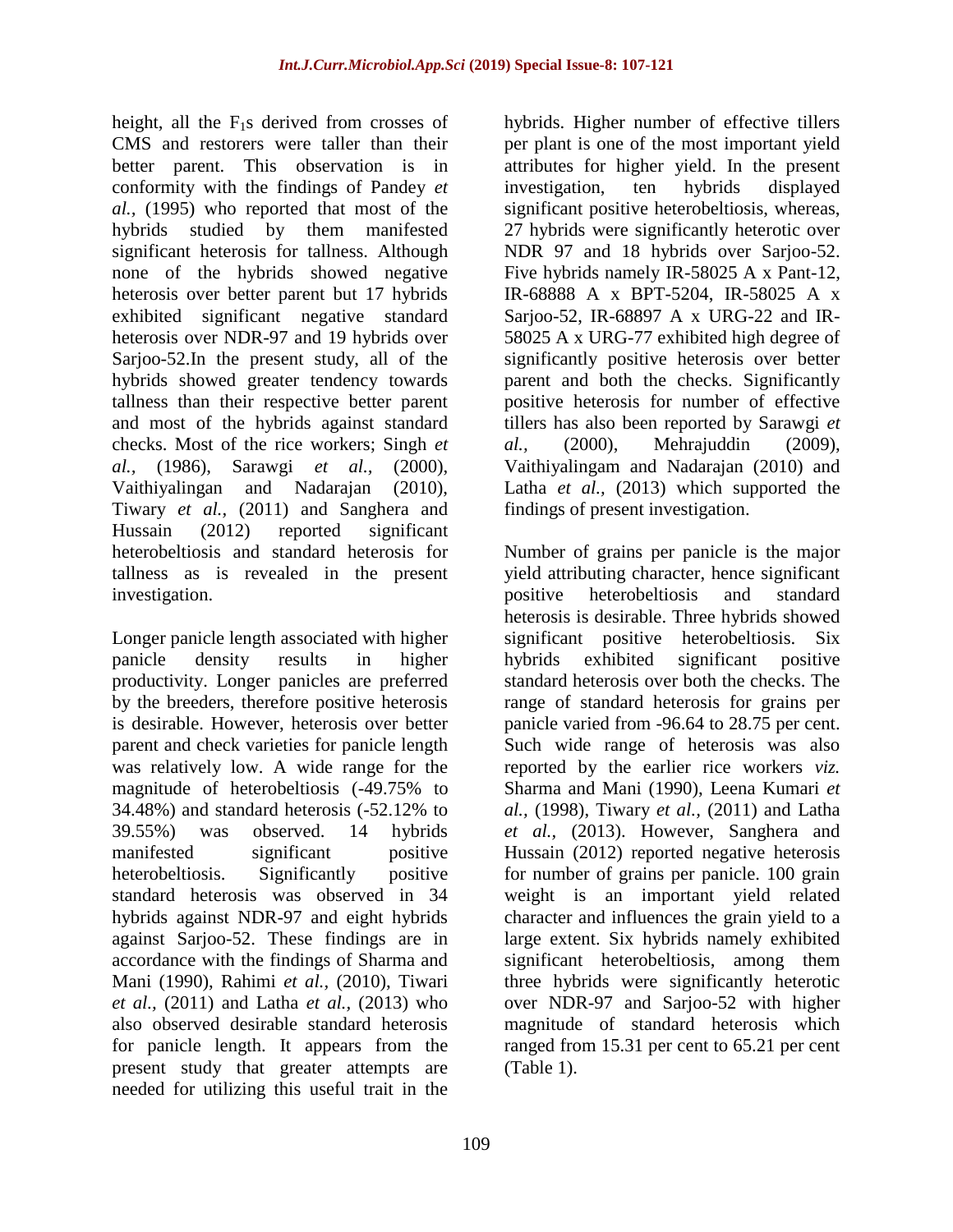height, all the  $F_1s$  derived from crosses of CMS and restorers were taller than their better parent. This observation is in conformity with the findings of Pandey *et al.,* (1995) who reported that most of the hybrids studied by them manifested significant heterosis for tallness. Although none of the hybrids showed negative heterosis over better parent but 17 hybrids exhibited significant negative standard heterosis over NDR-97 and 19 hybrids over Sarjoo-52.In the present study, all of the hybrids showed greater tendency towards tallness than their respective better parent and most of the hybrids against standard checks. Most of the rice workers; Singh *et al.,* (1986), Sarawgi *et al.,* (2000), Vaithiyalingan and Nadarajan (2010), Tiwary *et al.,* (2011) and Sanghera and Hussain (2012) reported significant heterobeltiosis and standard heterosis for tallness as is revealed in the present investigation.

Longer panicle length associated with higher panicle density results in higher productivity. Longer panicles are preferred by the breeders, therefore positive heterosis is desirable. However, heterosis over better parent and check varieties for panicle length was relatively low. A wide range for the magnitude of heterobeltiosis (-49.75% to 34.48%) and standard heterosis (-52.12% to 39.55%) was observed. 14 hybrids manifested significant positive heterobeltiosis. Significantly positive standard heterosis was observed in 34 hybrids against NDR-97 and eight hybrids against Sarjoo-52. These findings are in accordance with the findings of Sharma and Mani (1990), Rahimi *et al.,* (2010), Tiwari *et al.,* (2011) and Latha *et al.,* (2013) who also observed desirable standard heterosis for panicle length. It appears from the present study that greater attempts are needed for utilizing this useful trait in the

hybrids. Higher number of effective tillers per plant is one of the most important yield attributes for higher yield. In the present investigation, ten hybrids displayed significant positive heterobeltiosis, whereas, 27 hybrids were significantly heterotic over NDR 97 and 18 hybrids over Sarjoo-52. Five hybrids namely IR-58025 A x Pant-12, IR-68888 A x BPT-5204, IR-58025 A x Sarjoo-52, IR-68897 A x URG-22 and IR-58025 A x URG-77 exhibited high degree of significantly positive heterosis over better parent and both the checks. Significantly positive heterosis for number of effective tillers has also been reported by Sarawgi *et al.,* (2000), Mehrajuddin (2009), Vaithiyalingam and Nadarajan (2010) and Latha *et al.*, (2013) which supported the findings of present investigation.

Number of grains per panicle is the major yield attributing character, hence significant positive heterobeltiosis and standard heterosis is desirable. Three hybrids showed significant positive heterobeltiosis. Six hybrids exhibited significant positive standard heterosis over both the checks. The range of standard heterosis for grains per panicle varied from -96.64 to 28.75 per cent. Such wide range of heterosis was also reported by the earlier rice workers *viz.*  Sharma and Mani (1990), Leena Kumari *et al.,* (1998), Tiwary *et al.,* (2011) and Latha *et al.,* (2013). However, Sanghera and Hussain (2012) reported negative heterosis for number of grains per panicle. 100 grain weight is an important yield related character and influences the grain yield to a large extent. Six hybrids namely exhibited significant heterobeltiosis, among them three hybrids were significantly heterotic over NDR-97 and Sarjoo-52 with higher magnitude of standard heterosis which ranged from 15.31 per cent to 65.21 per cent (Table 1).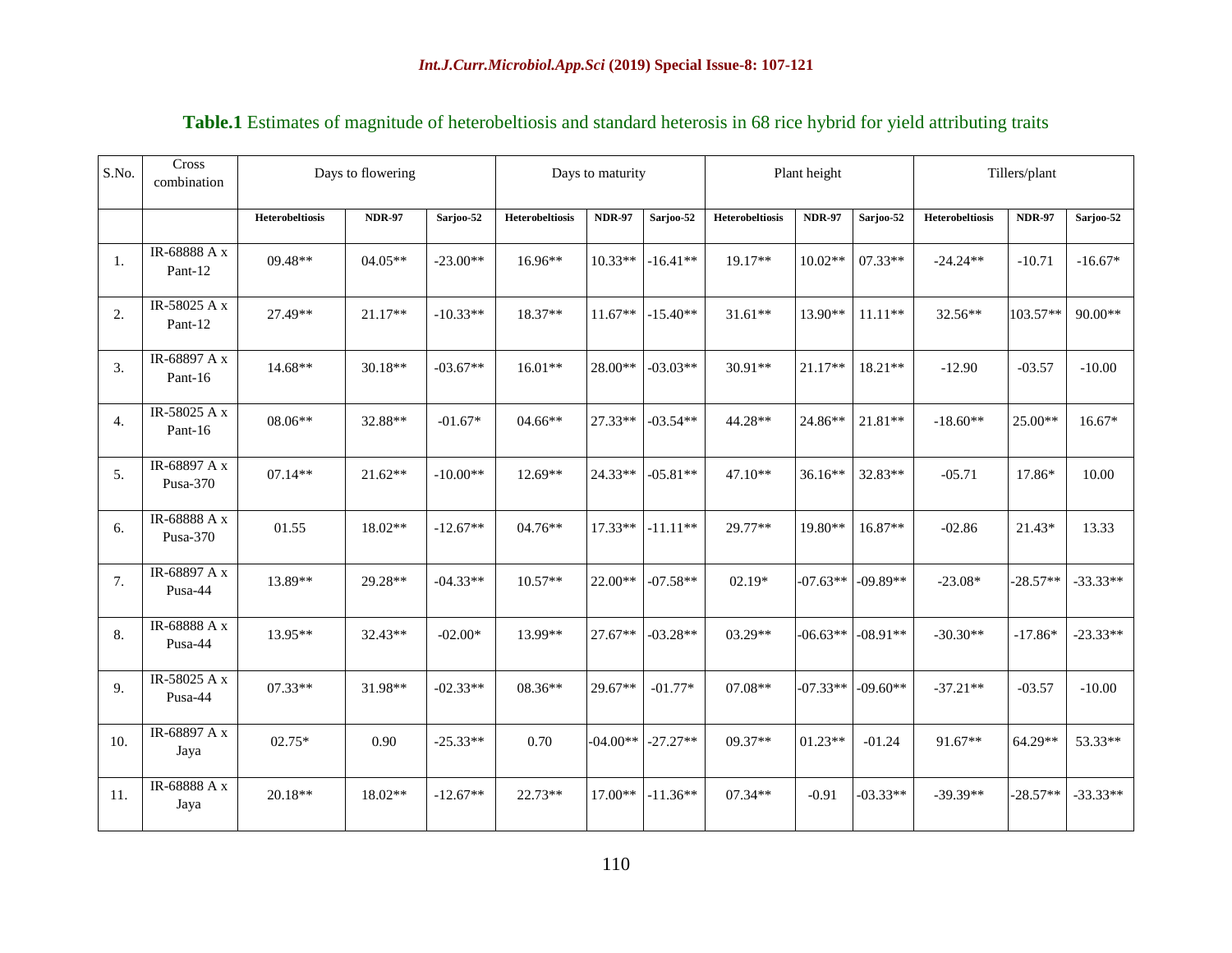| S.No. | Cross<br>combination     |                        | Days to flowering |            | Days to maturity |               | Plant height |                        | Tillers/plant |            |                        |               |            |
|-------|--------------------------|------------------------|-------------------|------------|------------------|---------------|--------------|------------------------|---------------|------------|------------------------|---------------|------------|
|       |                          | <b>Heterobeltiosis</b> | <b>NDR-97</b>     | Sarjoo-52  | Heterobeltiosis  | <b>NDR-97</b> | Sarjoo-52    | <b>Heterobeltiosis</b> | <b>NDR-97</b> | Sarjoo-52  | <b>Heterobeltiosis</b> | <b>NDR-97</b> | Sarjoo-52  |
| 1.    | IR-68888 A x<br>Pant-12  | $09.48**$              | 04.05**           | $-23.00**$ | $16.96**$        | $10.33**$     | $-16.41**$   | $19.17**$              | $10.02**$     | $07.33**$  | $-24.24**$             | $-10.71$      | $-16.67*$  |
| 2.    | IR-58025 A x<br>Pant-12  | 27.49**                | 21.17**           | $-10.33**$ | 18.37**          | $11.67**$     | $-15.40**$   | $31.61**$              | 13.90**       | $11.11**$  | 32.56**                | 103.57**      | $90.00**$  |
| 3.    | IR-68897 A x<br>Pant-16  | 14.68**                | 30.18**           | $-03.67**$ | $16.01**$        | 28.00**       | $-03.03**$   | 30.91**                | 21.17**       | $18.21**$  | $-12.90$               | $-03.57$      | $-10.00$   |
| 4.    | IR-58025 A x<br>Pant-16  | 08.06**                | 32.88**           | $-01.67*$  | 04.66**          | 27.33**       | $-03.54**$   | 44.28**                | 24.86**       | 21.81**    | $-18.60**$             | 25.00**       | $16.67*$   |
| 5.    | IR-68897 A x<br>Pusa-370 | $07.14**$              | $21.62**$         | $-10.00**$ | 12.69**          | 24.33**       | $-05.81**$   | $47.10**$              | 36.16**       | 32.83**    | $-05.71$               | 17.86*        | 10.00      |
| 6.    | IR-68888 A x<br>Pusa-370 | 01.55                  | 18.02**           | $-12.67**$ | 04.76**          | 17.33**       | $-11.11**$   | 29.77**                | 19.80**       | 16.87**    | $-02.86$               | 21.43*        | 13.33      |
| 7.    | IR-68897 A x<br>Pusa-44  | 13.89**                | 29.28**           | $-04.33**$ | 10.57**          | $22.00**$     | $-07.58**$   | $02.19*$               | $-07.63**$    | $-09.89**$ | $-23.08*$              | $-28.57**$    | $-33.33**$ |
| 8.    | IR-68888 A x<br>Pusa-44  | 13.95**                | 32.43**           | $-02.00*$  | 13.99**          | 27.67**       | $-03.28**$   | 03.29**                | $-06.63**$    | $-08.91**$ | $-30.30**$             | $-17.86*$     | $-23.33**$ |
| 9.    | IR-58025 A x<br>Pusa-44  | 07.33**                | 31.98**           | $-02.33**$ | 08.36**          | 29.67**       | $-01.77*$    | 07.08**                | $-07.33**$    | $-09.60**$ | $-37.21**$             | $-03.57$      | $-10.00$   |
| 10.   | IR-68897 A x<br>Jaya     | $02.75*$               | 0.90              | $-25.33**$ | 0.70             | $-04.00**$    | $-27.27**$   | 09.37**                | $01.23**$     | $-01.24$   | 91.67**                | 64.29**       | 53.33**    |
| 11.   | IR-68888 A x<br>Jaya     | $20.18**$              | 18.02**           | $-12.67**$ | 22.73**          | $17.00**$     | $-11.36**$   | 07.34**                | $-0.91$       | $-03.33**$ | $-39.39**$             | $-28.57**$    | $-33.33**$ |

### **Table.1** Estimates of magnitude of heterobeltiosis and standard heterosis in 68 rice hybrid for yield attributing traits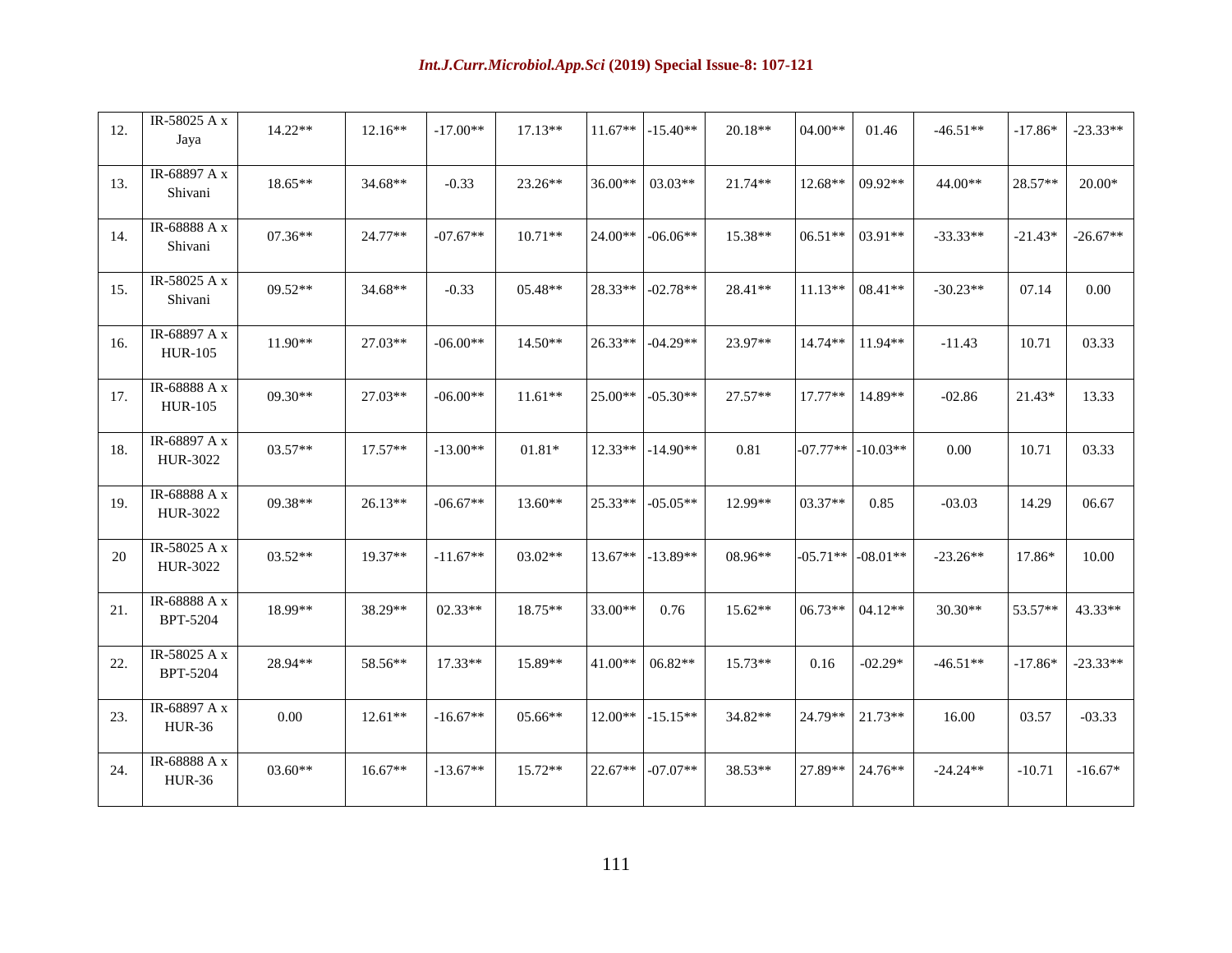| 12. | IR-58025 A x<br>Jaya            | $14.22**$ | $12.16**$ | $-17.00**$ | $17.13**$ | $11.67**$ | $-15.40**$ | 20.18**   | $04.00**$  | 01.46      | $-46.51**$ | $-17.86*$ | $-23.33**$ |
|-----|---------------------------------|-----------|-----------|------------|-----------|-----------|------------|-----------|------------|------------|------------|-----------|------------|
| 13. | IR-68897 A x<br>Shivani         | 18.65**   | 34.68**   | $-0.33$    | 23.26**   | 36.00**   | $03.03**$  | $21.74**$ | 12.68**    | 09.92**    | 44.00**    | 28.57**   | 20.00*     |
| 14. | IR-68888 A x<br>Shivani         | $07.36**$ | $24.77**$ | $-07.67**$ | $10.71**$ | $24.00**$ | $-06.06**$ | 15.38**   | $06.51**$  | $03.91**$  | $-33.33**$ | $-21.43*$ | $-26.67**$ |
| 15. | IR-58025 A x<br>Shivani         | $09.52**$ | 34.68**   | $-0.33$    | 05.48**   | 28.33**   | $-02.78**$ | $28.41**$ | $11.13**$  | $08.41**$  | $-30.23**$ | 07.14     | 0.00       |
| 16. | IR-68897 A x<br><b>HUR-105</b>  | $11.90**$ | 27.03**   | $-06.00**$ | $14.50**$ | $26.33**$ | $-04.29**$ | 23.97**   | $14.74**$  | $11.94**$  | $-11.43$   | 10.71     | 03.33      |
| 17. | IR-68888 A x<br><b>HUR-105</b>  | 09.30**   | 27.03**   | $-06.00**$ | $11.61**$ | 25.00**   | $-05.30**$ | $27.57**$ | $17.77**$  | 14.89**    | $-02.86$   | 21.43*    | 13.33      |
| 18. | IR-68897 A x<br>HUR-3022        | 03.57**   | 17.57**   | $-13.00**$ | $01.81*$  | $12.33**$ | $-14.90**$ | 0.81      | $-07.77**$ | $-10.03**$ | 0.00       | 10.71     | 03.33      |
| 19. | IR-68888 A x<br>HUR-3022        | 09.38**   | 26.13**   | $-06.67**$ | 13.60**   | $25.33**$ | $-05.05**$ | 12.99**   | $03.37**$  | 0.85       | $-03.03$   | 14.29     | 06.67      |
| 20  | IR-58025 A x<br>HUR-3022        | 03.52**   | 19.37**   | $-11.67**$ | $03.02**$ | $13.67**$ | $-13.89**$ | 08.96**   | $-05.71**$ | $-08.01**$ | $-23.26**$ | 17.86*    | 10.00      |
| 21. | IR-68888 A x<br><b>BPT-5204</b> | 18.99**   | 38.29**   | $02.33**$  | 18.75**   | 33.00**   | 0.76       | $15.62**$ | 06.73**    | 04.12**    | 30.30**    | 53.57**   | 43.33**    |
| 22. | IR-58025 A x<br><b>BPT-5204</b> | 28.94**   | 58.56**   | $17.33**$  | 15.89**   | $41.00**$ | $06.82**$  | $15.73**$ | 0.16       | $-02.29*$  | $-46.51**$ | $-17.86*$ | $-23.33**$ |
| 23. | IR-68897 A x<br><b>HUR-36</b>   | 0.00      | $12.61**$ | $-16.67**$ | $05.66**$ | $12.00**$ | $-15.15**$ | 34.82**   | 24.79**    | $21.73**$  | 16.00      | 03.57     | $-03.33$   |
| 24. | IR-68888 A x<br><b>HUR-36</b>   | $03.60**$ | $16.67**$ | $-13.67**$ | 15.72**   | 22.67**   | $-07.07**$ | 38.53**   | 27.89**    | 24.76**    | $-24.24**$ | $-10.71$  | $-16.67*$  |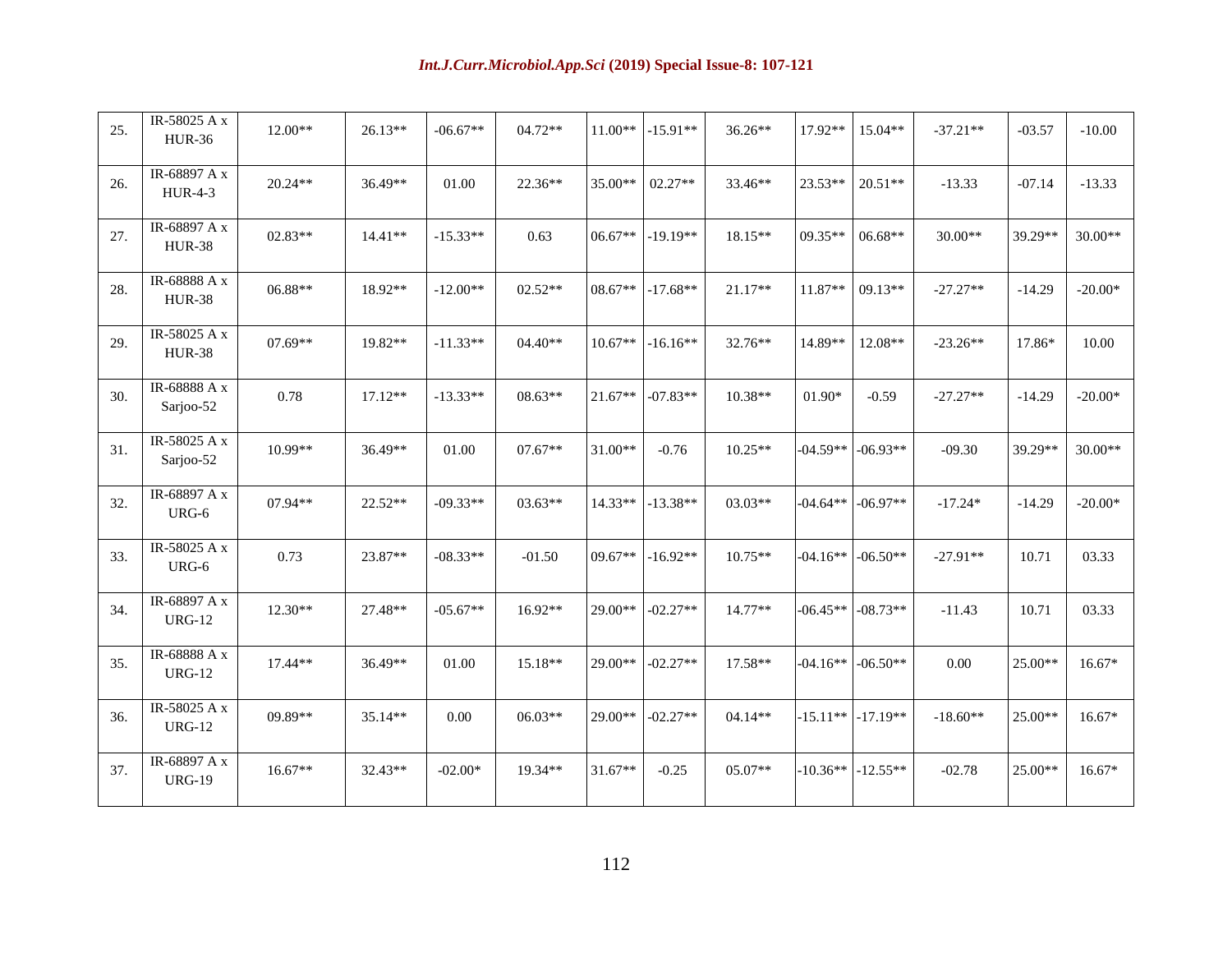| 25. | IR-58025 A x<br><b>HUR-36</b>  | $12.00**$ | $26.13**$ | $-06.67**$ | 04.72**   | $11.00**$ | $-15.91**$ | 36.26**   | 17.92**    | 15.04**               | $-37.21**$ | $-03.57$ | $-10.00$  |
|-----|--------------------------------|-----------|-----------|------------|-----------|-----------|------------|-----------|------------|-----------------------|------------|----------|-----------|
| 26. | IR-68897 A x<br><b>HUR-4-3</b> | 20.24**   | 36.49**   | 01.00      | 22.36**   | 35.00**   | $02.27**$  | 33.46**   | 23.53**    | $20.51**$             | $-13.33$   | $-07.14$ | $-13.33$  |
| 27. | IR-68897 A x<br><b>HUR-38</b>  | 02.83**   | $14.41**$ | $-15.33**$ | 0.63      | $06.67**$ | $-19.19**$ | 18.15**   | 09.35**    | $06.68**$             | 30.00**    | 39.29**  | 30.00**   |
| 28. | IR-68888 A x<br><b>HUR-38</b>  | 06.88**   | 18.92**   | $-12.00**$ | $02.52**$ | 08.67**   | $-17.68**$ | 21.17**   | 11.87**    | $09.13**$             | $-27.27**$ | $-14.29$ | $-20.00*$ |
| 29. | IR-58025 A x<br><b>HUR-38</b>  | $07.69**$ | 19.82**   | $-11.33**$ | $04.40**$ | $10.67**$ | $-16.16**$ | 32.76**   | 14.89**    | 12.08**               | $-23.26**$ | 17.86*   | 10.00     |
| 30. | IR-68888 A x<br>Sarjoo-52      | 0.78      | $17.12**$ | $-13.33**$ | 08.63**   | 21.67**   | $-07.83**$ | 10.38**   | 01.90*     | $-0.59$               | $-27.27**$ | $-14.29$ | $-20.00*$ |
| 31. | IR-58025 A x<br>Sarjoo-52      | 10.99**   | 36.49**   | 01.00      | $07.67**$ | 31.00**   | $-0.76$    | $10.25**$ | $-04.59**$ | $-06.93**$            | $-09.30$   | 39.29**  | 30.00**   |
| 32. | IR-68897 A x<br>URG-6          | $07.94**$ | $22.52**$ | $-09.33**$ | $03.63**$ | $14.33**$ | $-13.38**$ | $03.03**$ |            | $-04.64**$ $-06.97**$ | $-17.24*$  | $-14.29$ | $-20.00*$ |
| 33. | IR-58025 A x<br>URG-6          | 0.73      | 23.87**   | $-08.33**$ | $-01.50$  | $09.67**$ | $-16.92**$ | $10.75**$ |            | $-04.16**$ $-06.50**$ | $-27.91**$ | 10.71    | 03.33     |
| 34. | IR-68897 A x<br><b>URG-12</b>  | 12.30**   | 27.48**   | $-05.67**$ | $16.92**$ | $29.00**$ | $-02.27**$ | $14.77**$ | $-06.45**$ | $-08.73**$            | $-11.43$   | 10.71    | 03.33     |
| 35. | IR-68888 A x<br><b>URG-12</b>  | 17.44**   | 36.49**   | $01.00\,$  | 15.18**   | 29.00**   | $-02.27**$ | 17.58**   | $-04.16**$ | $-06.50**$            | 0.00       | 25.00**  | $16.67*$  |
| 36. | IR-58025 A x<br><b>URG-12</b>  | 09.89**   | 35.14**   | $0.00\,$   | 06.03**   | 29.00**   | $-02.27**$ | 04.14**   |            | $-15.11**$ $-17.19**$ | $-18.60**$ | 25.00**  | $16.67*$  |
| 37. | IR-68897 A x<br><b>URG-19</b>  | 16.67**   | 32.43**   | $-02.00*$  | 19.34**   | $31.67**$ | $-0.25$    | 05.07**   | $-10.36**$ | $-12.55**$            | $-02.78$   | 25.00**  | $16.67*$  |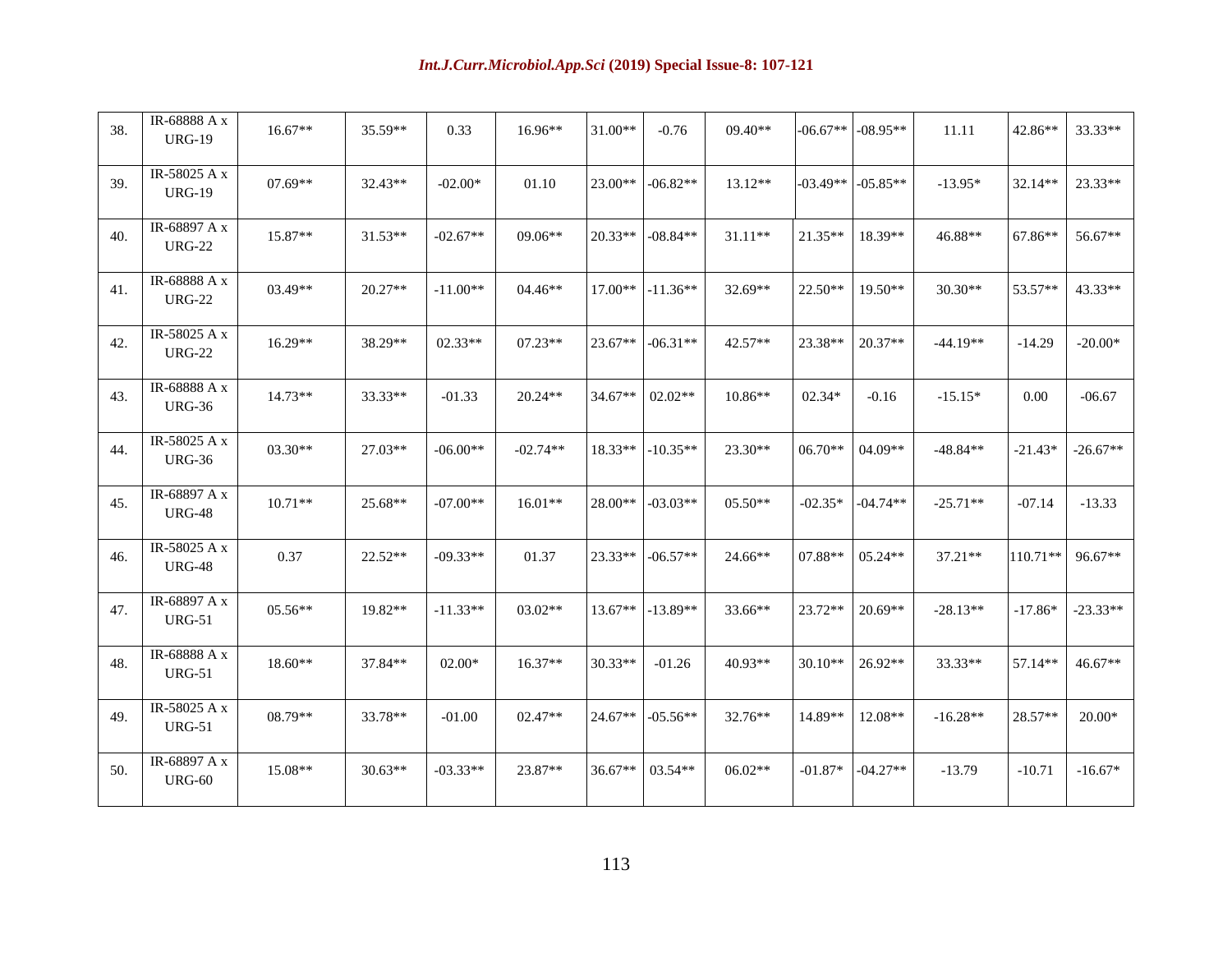| 38. | IR-68888 A x<br><b>URG-19</b> | $16.67**$ | 35.59**   | 0.33       | 16.96**    | 31.00**   | $-0.76$    | 09.40**   | $-06.67**$ | $-08.95**$ | 11.11      | 42.86**   | 33.33**    |
|-----|-------------------------------|-----------|-----------|------------|------------|-----------|------------|-----------|------------|------------|------------|-----------|------------|
| 39. | IR-58025 A x<br><b>URG-19</b> | $07.69**$ | 32.43**   | $-02.00*$  | 01.10      | 23.00**   | $-06.82**$ | $13.12**$ | $-03.49**$ | $-05.85**$ | $-13.95*$  | 32.14**   | 23.33**    |
| 40. | IR-68897 A x<br><b>URG-22</b> | 15.87**   | $31.53**$ | $-02.67**$ | $09.06**$  | $20.33**$ | $-08.84**$ | $31.11**$ | $21.35**$  | 18.39**    | 46.88**    | 67.86**   | 56.67**    |
| 41. | IR-68888 A x<br><b>URG-22</b> | 03.49**   | $20.27**$ | $-11.00**$ | 04.46**    | 17.00**   | $-11.36**$ | 32.69**   | 22.50**    | $19.50**$  | 30.30**    | 53.57**   | 43.33**    |
| 42. | IR-58025 A x<br><b>URG-22</b> | 16.29**   | 38.29**   | 02.33**    | $07.23**$  | 23.67**   | $-06.31**$ | 42.57**   | 23.38**    | 20.37**    | $-44.19**$ | $-14.29$  | $-20.00*$  |
| 43. | IR-68888 A x<br><b>URG-36</b> | $14.73**$ | 33.33**   | $-01.33$   | $20.24**$  | 34.67**   | $02.02**$  | 10.86**   | $02.34*$   | $-0.16$    | $-15.15*$  | 0.00      | $-06.67$   |
| 44. | IR-58025 A x<br><b>URG-36</b> | 03.30**   | 27.03**   | $-06.00**$ | $-02.74**$ | 18.33**   | $-10.35**$ | 23.30**   | $06.70**$  | 04.09**    | $-48.84**$ | $-21.43*$ | $-26.67**$ |
| 45. | IR-68897 A x<br><b>URG-48</b> | $10.71**$ | 25.68**   | $-07.00**$ | $16.01**$  | 28.00**   | $-03.03**$ | $05.50**$ | $-02.35*$  | $-04.74**$ | $-25.71**$ | $-07.14$  | $-13.33$   |
| 46. | IR-58025 A x<br><b>URG-48</b> | 0.37      | 22.52**   | $-09.33**$ | 01.37      | $23.33**$ | $-06.57**$ | 24.66**   | 07.88**    | $05.24**$  | 37.21**    | 110.71**  | $96.67**$  |
| 47. | IR-68897 A x<br><b>URG-51</b> | 05.56**   | 19.82**   | $-11.33**$ | $03.02**$  | $13.67**$ | $-13.89**$ | 33.66**   | 23.72**    | 20.69**    | $-28.13**$ | $-17.86*$ | $-23.33**$ |
| 48. | IR-68888 A x<br><b>URG-51</b> | 18.60**   | 37.84**   | $02.00*$   | 16.37**    | 30.33**   | $-01.26$   | 40.93**   | $30.10**$  | 26.92**    | 33.33**    | 57.14**   | 46.67**    |
| 49. | IR-58025 A x<br><b>URG-51</b> | 08.79**   | 33.78**   | $-01.00$   | 02.47**    | 24.67**   | $-05.56**$ | 32.76**   | 14.89**    | 12.08**    | $-16.28**$ | 28.57**   | $20.00*$   |
| 50. | IR-68897 A x<br><b>URG-60</b> | 15.08**   | $30.63**$ | $-03.33**$ | 23.87**    | 36.67**   | $03.54**$  | 06.02**   | $-01.87*$  | $-04.27**$ | $-13.79$   | $-10.71$  | $-16.67*$  |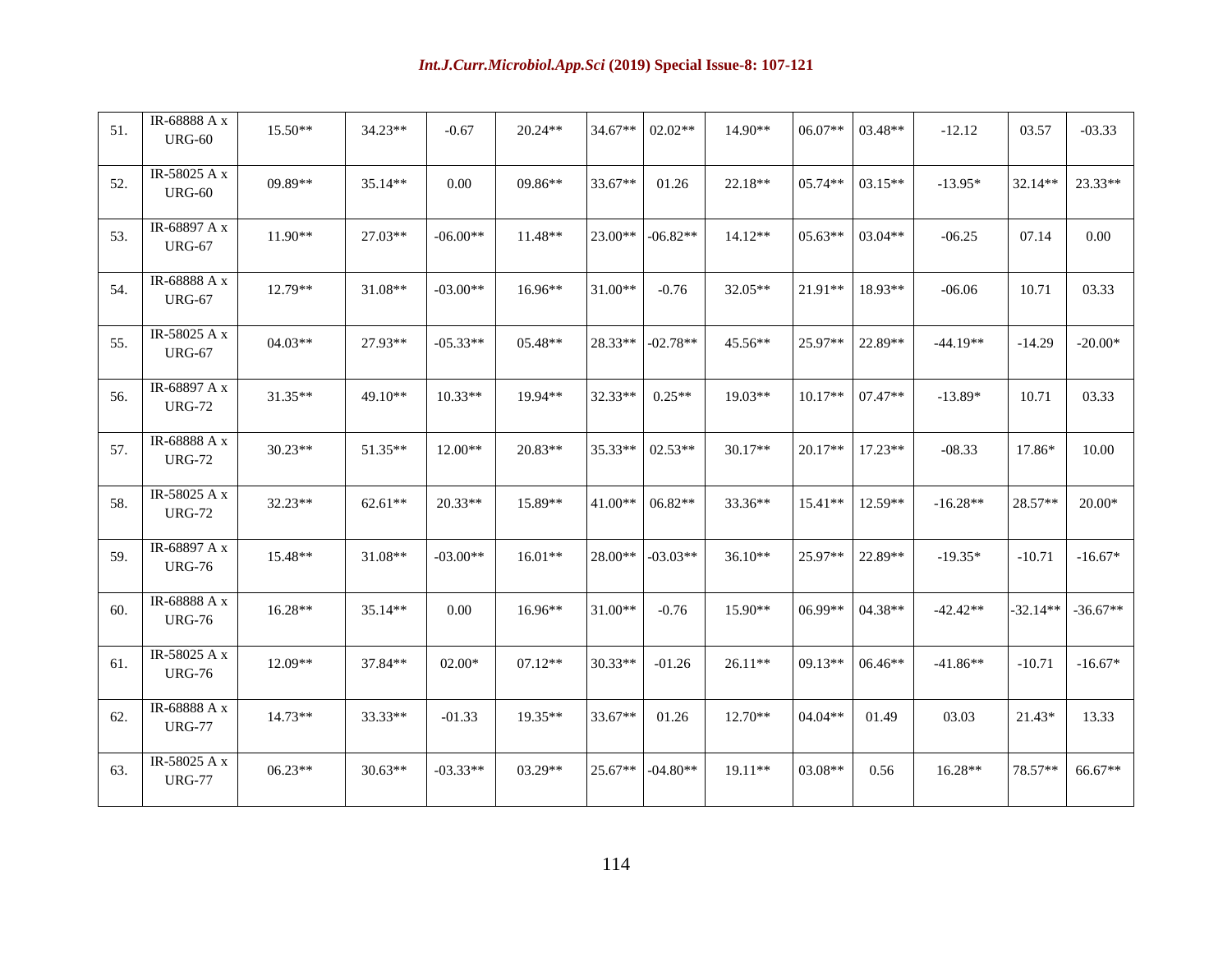| 51. | IR-68888 A x<br><b>URG-60</b>   | 15.50**   | 34.23**   | $-0.67$    | 20.24**   | 34.67**   | $02.02**$  | 14.90**   | 06.07**   | 03.48**   | $-12.12$   | 03.57      | $-03.33$   |
|-----|---------------------------------|-----------|-----------|------------|-----------|-----------|------------|-----------|-----------|-----------|------------|------------|------------|
| 52. | IR-58025 A x<br><b>URG-60</b>   | 09.89**   | $35.14**$ | 0.00       | 09.86**   | 33.67**   | 01.26      | 22.18**   | 05.74**   | $03.15**$ | $-13.95*$  | 32.14**    | 23.33**    |
| 53. | IR-68897 A x<br><b>URG-67</b>   | 11.90**   | 27.03**   | $-06.00**$ | 11.48**   | $23.00**$ | $-06.82**$ | $14.12**$ | $05.63**$ | $03.04**$ | $-06.25$   | 07.14      | 0.00       |
| 54. | IR-68888 A x<br><b>URG-67</b>   | 12.79**   | 31.08**   | $-03.00**$ | 16.96**   | 31.00**   | $-0.76$    | 32.05**   | 21.91**   | 18.93**   | $-06.06$   | 10.71      | 03.33      |
| 55. | IR-58025 A x<br><b>URG-67</b>   | $04.03**$ | 27.93**   | $-05.33**$ | $05.48**$ | 28.33**   | $-02.78**$ | 45.56**   | $25.97**$ | 22.89**   | $-44.19**$ | $-14.29$   | $-20.00*$  |
| 56. | IR-68897 A x<br><b>URG-72</b>   | 31.35**   | 49.10**   | $10.33**$  | 19.94**   | 32.33**   | $0.25**$   | 19.03**   | $10.17**$ | $07.47**$ | $-13.89*$  | 10.71      | 03.33      |
| 57. | IR-68888 A x<br><b>URG-72</b>   | 30.23**   | 51.35**   | 12.00**    | 20.83**   | 35.33**   | $02.53**$  | 30.17**   | 20.17**   | 17.23**   | $-08.33$   | 17.86*     | 10.00      |
| 58. | IR-58025 A $x$<br><b>URG-72</b> | 32.23**   | 62.61**   | $20.33**$  | 15.89**   | $41.00**$ | 06.82**    | 33.36**   | $15.41**$ | $12.59**$ | $-16.28**$ | $28.57**$  | $20.00*$   |
| 59. | IR-68897 A x<br><b>URG-76</b>   | 15.48**   | 31.08**   | $-03.00**$ | $16.01**$ | $28.00**$ | $-03.03**$ | $36.10**$ | 25.97**   | 22.89**   | $-19.35*$  | $-10.71$   | $-16.67*$  |
| 60. | IR-68888 A x<br><b>URG-76</b>   | 16.28**   | 35.14**   | 0.00       | $16.96**$ | 31.00**   | $-0.76$    | 15.90**   | $06.99**$ | $04.38**$ | $-42.42**$ | $-32.14**$ | $-36.67**$ |
| 61. | IR-58025 A $x$<br><b>URG-76</b> | 12.09**   | 37.84**   | $02.00*$   | $07.12**$ | 30.33**   | $-01.26$   | 26.11**   | $09.13**$ | 06.46**   | $-41.86**$ | $-10.71$   | $-16.67*$  |
| 62. | IR-68888 A x<br><b>URG-77</b>   | 14.73**   | 33.33**   | $-01.33$   | 19.35**   | 33.67**   | 01.26      | 12.70**   | 04.04**   | 01.49     | 03.03      | $21.43*$   | 13.33      |
| 63. | IR-58025 A x<br><b>URG-77</b>   | $06.23**$ | $30.63**$ | $-03.33**$ | $03.29**$ | 25.67**   | $-04.80**$ | $19.11**$ | $03.08**$ | 0.56      | $16.28**$  | 78.57**    | $66.67**$  |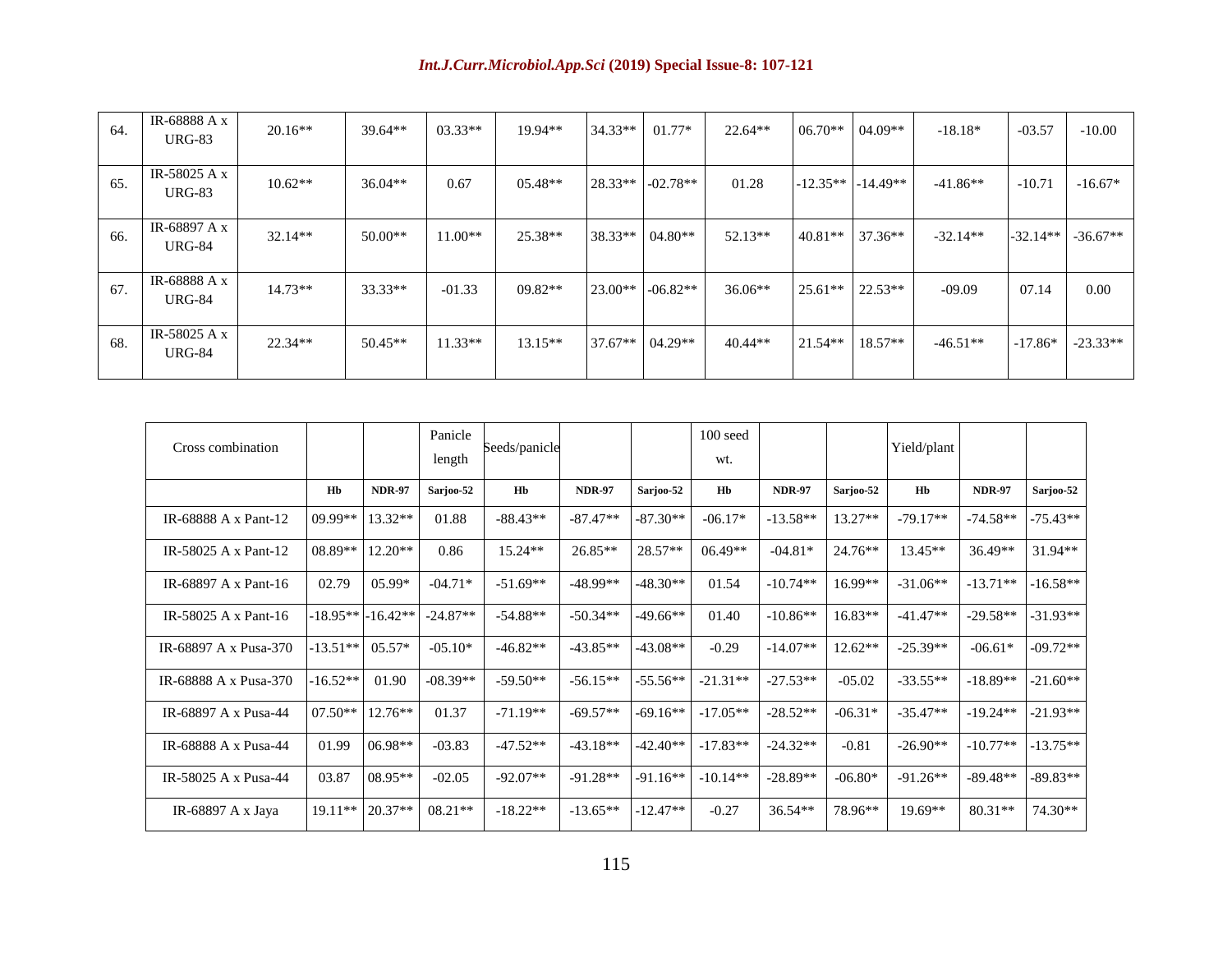| 64. | IR-68888 A x<br>URG-83          | $20.16**$ | $39.64**$ | $03.33**$ | 19.94**   | 34.33** | $01.77*$   | $22.64**$ | $06.70**$  | $04.09**$  | $-18.18*$  | $-03.57$   | $-10.00$   |
|-----|---------------------------------|-----------|-----------|-----------|-----------|---------|------------|-----------|------------|------------|------------|------------|------------|
| 65. | IR-58025 A $x$<br><b>URG-83</b> | $10.62**$ | $36.04**$ | 0.67      | $05.48**$ | 28.33** | $-02.78**$ | 01.28     | $-12.35**$ | $-14.49**$ | $-41.86**$ | $-10.71$   | $-16.67*$  |
| 66. | IR-68897 A x<br><b>URG-84</b>   | $32.14**$ | $50.00**$ | $11.00**$ | 25.38**   | 38.33** | $04.80**$  | $52.13**$ | $40.81**$  | $37.36**$  | $-32.14**$ | $-32.14**$ | $-36.67**$ |
| 67. | IR-68888 A x<br>$URG-84$        | $14.73**$ | $33.33**$ | $-01.33$  | $09.82**$ | 23.00** | $-06.82**$ | $36.06**$ | $25.61**$  | $22.53**$  | $-09.09$   | 07.14      | 0.00       |
| 68. | IR-58025 A $x$<br><b>URG-84</b> | $22.34**$ | $50.45**$ | $11.33**$ | $13.15**$ | 37.67** | $04.29**$  | $40.44**$ | $21.54**$  | $18.57**$  | $-46.51**$ | $-17.86*$  | $-23.33**$ |

| Cross combination     |            |                    | Panicle<br>length | Seeds/panicle |               |            | $100$ seed<br>wt. |               |           | Yield/plant |               |            |
|-----------------------|------------|--------------------|-------------------|---------------|---------------|------------|-------------------|---------------|-----------|-------------|---------------|------------|
|                       | Hb         | <b>NDR-97</b>      | Sarjoo-52         | Hb            | <b>NDR-97</b> | Sarjoo-52  | Hb                | <b>NDR-97</b> | Sarjoo-52 | Hb          | <b>NDR-97</b> | Sarjoo-52  |
| IR-68888 A x Pant-12  | 09.99**    | 13.32**            | 01.88             | $-88.43**$    | $-87.47**$    | $-87.30**$ | $-06.17*$         | $-13.58**$    | $13.27**$ | $-79.17**$  | $-74.58**$    | $-75.43**$ |
| IR-58025 A x Pant-12  | 08.89**    | $12.20**$          | 0.86              | 15.24**       | $26.85**$     | $28.57**$  | $06.49**$         | $-04.81*$     | 24.76**   | $13.45**$   | 36.49**       | $31.94**$  |
| IR-68897 A x Pant-16  | 02.79      | $05.99*$           | $-04.71*$         | $-51.69**$    | $-48.99**$    | $-48.30**$ | 01.54             | $-10.74**$    | $16.99**$ | $-31.06**$  | $-13.71**$    | $-16.58**$ |
| IR-58025 A x Pant-16  |            | $-18.95**-16.42**$ | $-24.87**$        | $-54.88**$    | $-50.34**$    | $-49.66**$ | 01.40             | $-10.86**$    | 16.83**   | $-41.47**$  | $-29.58**$    | $-31.93**$ |
| IR-68897 A x Pusa-370 | $-13.51**$ | $05.57*$           | $-05.10*$         | $-46.82**$    | $-43.85**$    | $-43.08**$ | $-0.29$           | $-14.07**$    | $12.62**$ | $-25.39**$  | $-06.61*$     | $-09.72**$ |
| IR-68888 A x Pusa-370 | $-16.52**$ | 01.90              | $-08.39**$        | $-59.50**$    | $-56.15**$    | $-55.56**$ | $-21.31**$        | $-27.53**$    | $-05.02$  | $-33.55**$  | $-18.89**$    | $-21.60**$ |
| IR-68897 A x Pusa-44  | $07.50**$  | $12.76**$          | 01.37             | $-71.19**$    | $-69.57**$    | $-69.16**$ | $-17.05**$        | $-28.52**$    | $-06.31*$ | $-35.47**$  | $-19.24**$    | $-21.93**$ |
| IR-68888 A x Pusa-44  | 01.99      | $06.98**$          | $-03.83$          | $-47.52**$    | $-43.18**$    | $-42.40**$ | $-17.83**$        | $-24.32**$    | $-0.81$   | $-26.90**$  | $-10.77**$    | $-13.75**$ |
| IR-58025 A x Pusa-44  | 03.87      | $08.95**$          | $-02.05$          | $-92.07**$    | $-91.28**$    | $-91.16**$ | $-10.14**$        | $-28.89**$    | $-06.80*$ | $-91.26**$  | $-89.48**$    | $-89.83**$ |
| IR-68897 A x Jaya     | 19.11**    | 20.37**            | 08.21**           | $-18.22**$    | $-13.65**$    | $-12.47**$ | $-0.27$           | 36.54**       | 78.96**   | 19.69**     | 80.31**       | 74.30**    |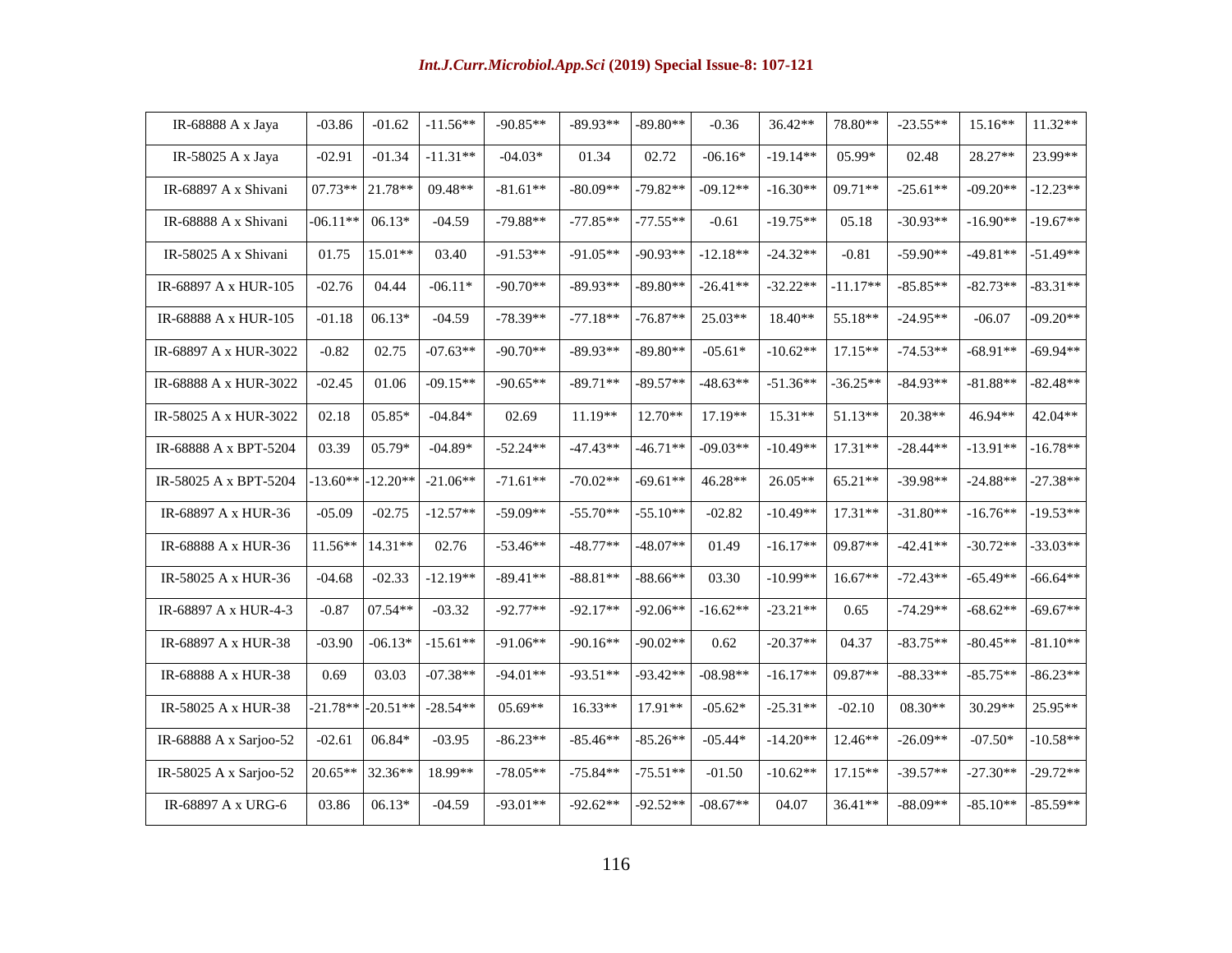| IR-68888 A x Jaya      | $-03.86$   | $-01.62$   | $-11.56**$ | $-90.85**$ | $-89.93**$ | $-89.80**$ | $-0.36$    | 36.42**    | 78.80**    | $-23.55**$ | $15.16**$  | $11.32**$  |
|------------------------|------------|------------|------------|------------|------------|------------|------------|------------|------------|------------|------------|------------|
| IR-58025 A x Jaya      | $-02.91$   | $-01.34$   | $-11.31**$ | $-04.03*$  | 01.34      | 02.72      | $-06.16*$  | $-19.14**$ | 05.99*     | 02.48      | $28.27**$  | 23.99**    |
| IR-68897 A x Shivani   | 07.73**    | 21.78**    | 09.48**    | $-81.61**$ | $-80.09**$ | $-79.82**$ | $-09.12**$ | $-16.30**$ | 09.71**    | $-25.61**$ | $-09.20**$ | $-12.23**$ |
| IR-68888 A x Shivani   | $-06.11**$ | $06.13*$   | $-04.59$   | $-79.88**$ | $-77.85**$ | $-77.55**$ | $-0.61$    | $-19.75**$ | 05.18      | $-30.93**$ | $-16.90**$ | $-19.67**$ |
| IR-58025 A x Shivani   | 01.75      | 15.01**    | 03.40      | $-91.53**$ | $-91.05**$ | $-90.93**$ | $-12.18**$ | $-24.32**$ | $-0.81$    | $-59.90**$ | $-49.81**$ | $-51.49**$ |
| IR-68897 A x HUR-105   | $-02.76$   | 04.44      | $-06.11*$  | $-90.70**$ | $-89.93**$ | $-89.80**$ | $-26.41**$ | $-32.22**$ | $-11.17**$ | $-85.85**$ | $-82.73**$ | $-83.31**$ |
| IR-68888 A x HUR-105   | $-01.18$   | 06.13*     | $-04.59$   | $-78.39**$ | $-77.18**$ | $-76.87**$ | 25.03**    | 18.40**    | 55.18**    | $-24.95**$ | $-06.07$   | $-09.20**$ |
| IR-68897 A x HUR-3022  | $-0.82$    | 02.75      | $-07.63**$ | $-90.70**$ | $-89.93**$ | $-89.80**$ | $-05.61*$  | $-10.62**$ | $17.15**$  | $-74.53**$ | $-68.91**$ | $-69.94**$ |
| IR-68888 A x HUR-3022  | $-02.45$   | 01.06      | $-09.15**$ | $-90.65**$ | $-89.71**$ | $-89.57**$ | $-48.63**$ | $-51.36**$ | $-36.25**$ | $-84.93**$ | $-81.88**$ | $-82.48**$ |
| IR-58025 A x HUR-3022  | 02.18      | 05.85*     | $-04.84*$  | 02.69      | 11.19**    | 12.70**    | 17.19**    | 15.31**    | 51.13**    | 20.38**    | 46.94**    | 42.04**    |
| IR-68888 A x BPT-5204  | 03.39      | 05.79*     | $-04.89*$  | $-52.24**$ | $-47.43**$ | $-46.71**$ | $-09.03**$ | $-10.49**$ | $17.31**$  | $-28.44**$ | $-13.91**$ | $-16.78**$ |
| IR-58025 A x BPT-5204  | $-13.60**$ | $-12.20**$ | $-21.06**$ | $-71.61**$ | $-70.02**$ | $-69.61**$ | 46.28**    | 26.05**    | 65.21**    | $-39.98**$ | $-24.88**$ | $-27.38**$ |
| IR-68897 A x HUR-36    | $-05.09$   | $-02.75$   | $-12.57**$ | $-59.09**$ | $-55.70**$ | $-55.10**$ | $-02.82$   | $-10.49**$ | $17.31**$  | $-31.80**$ | $-16.76**$ | $-19.53**$ |
| IR-68888 A x HUR-36    | $11.56**$  | 14.31**    | 02.76      | $-53.46**$ | $-48.77**$ | $-48.07**$ | 01.49      | $-16.17**$ | 09.87**    | $-42.41**$ | $-30.72**$ | $-33.03**$ |
| IR-58025 A x HUR-36    | $-04.68$   | $-02.33$   | $-12.19**$ | $-89.41**$ | $-88.81**$ | $-88.66**$ | 03.30      | $-10.99**$ | $16.67**$  | $-72.43**$ | $-65.49**$ | $-66.64**$ |
| IR-68897 A x HUR-4-3   | $-0.87$    | $07.54**$  | $-03.32$   | $-92.77**$ | $-92.17**$ | $-92.06**$ | $-16.62**$ | $-23.21**$ | 0.65       | $-74.29**$ | $-68.62**$ | $-69.67**$ |
| IR-68897 A x HUR-38    | $-03.90$   | $-06.13*$  | $-15.61**$ | $-91.06**$ | $-90.16**$ | $-90.02**$ | 0.62       | $-20.37**$ | 04.37      | $-83.75**$ | $-80.45**$ | $-81.10**$ |
| IR-68888 A x HUR-38    | 0.69       | 03.03      | $-07.38**$ | $-94.01**$ | $-93.51**$ | $-93.42**$ | $-08.98**$ | $-16.17**$ | 09.87**    | $-88.33**$ | $-85.75**$ | $-86.23**$ |
| IR-58025 A x HUR-38    | $-21.78**$ | $-20.51**$ | $-28.54**$ | $05.69**$  | $16.33**$  | $17.91**$  | $-05.62*$  | $-25.31**$ | $-02.10$   | $08.30**$  | $30.29**$  | 25.95**    |
| IR-68888 A x Sarjoo-52 | $-02.61$   | 06.84*     | $-03.95$   | $-86.23**$ | $-85.46**$ | $-85.26**$ | $-05.44*$  | $-14.20**$ | 12.46**    | $-26.09**$ | $-07.50*$  | $-10.58**$ |
| IR-58025 A x Sarjoo-52 | $20.65**$  | 32.36**    | 18.99**    | $-78.05**$ | $-75.84**$ | $-75.51**$ | $-01.50$   | $-10.62**$ | $17.15**$  | $-39.57**$ | $-27.30**$ | $-29.72**$ |
| IR-68897 A x URG-6     | 03.86      | $06.13*$   | $-04.59$   | $-93.01**$ | $-92.62**$ | $-92.52**$ | $-08.67**$ | 04.07      | 36.41**    | $-88.09**$ | $-85.10**$ | $-85.59**$ |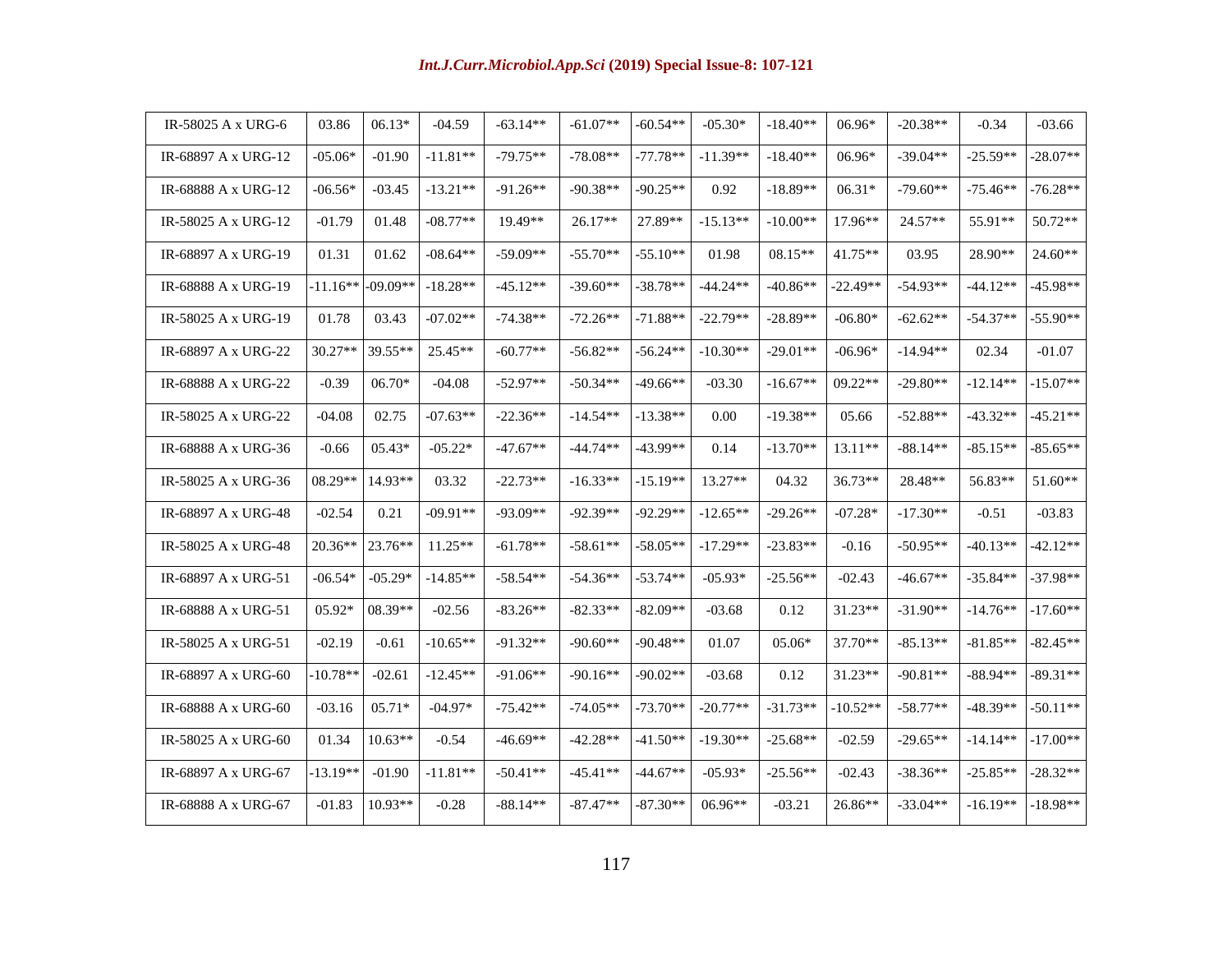| IR-58025 A x URG-6  | 03.86      | $06.13*$   | $-04.59$   | $-63.14**$ | $-61.07**$ | $-60.54**$ | $-05.30*$  | $-18.40**$ | 06.96*     | $-20.38**$ | $-0.34$    | $-03.66$   |
|---------------------|------------|------------|------------|------------|------------|------------|------------|------------|------------|------------|------------|------------|
| IR-68897 A x URG-12 | $-05.06*$  | $-01.90$   | $-11.81**$ | $-79.75**$ | $-78.08**$ | $-77.78**$ | $-11.39**$ | $-18.40**$ | 06.96*     | $-39.04**$ | $-25.59**$ | $-28.07**$ |
| IR-68888 A x URG-12 | $-06.56*$  | $-03.45$   | $-13.21**$ | $-91.26**$ | $-90.38**$ | $-90.25**$ | 0.92       | $-18.89**$ | $06.31*$   | $-79.60**$ | $-75.46**$ | $-76.28**$ |
| IR-58025 A x URG-12 | $-01.79$   | 01.48      | $-08.77**$ | 19.49**    | 26.17**    | 27.89**    | $-15.13**$ | $-10.00**$ | 17.96**    | 24.57**    | 55.91**    | 50.72**    |
| IR-68897 A x URG-19 | 01.31      | 01.62      | $-08.64**$ | $-59.09**$ | $-55.70**$ | $-55.10**$ | 01.98      | $08.15**$  | 41.75**    | 03.95      | 28.90**    | 24.60**    |
| IR-68888 A x URG-19 | $-11.16**$ | $-09.09**$ | $-18.28**$ | $-45.12**$ | $-39.60**$ | $-38.78**$ | $-44.24**$ | $-40.86**$ | $-22.49**$ | $-54.93**$ | $-44.12**$ | $-45.98**$ |
| IR-58025 A x URG-19 | 01.78      | 03.43      | $-07.02**$ | $-74.38**$ | $-72.26**$ | $-71.88**$ | $-22.79**$ | $-28.89**$ | $-06.80*$  | $-62.62**$ | $-54.37**$ | $-55.90**$ |
| IR-68897 A x URG-22 | 30.27**    | 39.55**    | 25.45**    | $-60.77**$ | $-56.82**$ | $-56.24**$ | $-10.30**$ | $-29.01**$ | $-06.96*$  | $-14.94**$ | 02.34      | $-01.07$   |
| IR-68888 A x URG-22 | $-0.39$    | $06.70*$   | $-04.08$   | $-52.97**$ | $-50.34**$ | $-49.66**$ | $-03.30$   | $-16.67**$ | $09.22**$  | $-29.80**$ | $-12.14**$ | $-15.07**$ |
| IR-58025 A x URG-22 | $-04.08$   | 02.75      | $-07.63**$ | $-22.36**$ | $-14.54**$ | $-13.38**$ | 0.00       | $-19.38**$ | 05.66      | $-52.88**$ | $-43.32**$ | $-45.21**$ |
| IR-68888 A x URG-36 | $-0.66$    | $05.43*$   | $-05.22*$  | $-47.67**$ | $-44.74**$ | $-43.99**$ | 0.14       | $-13.70**$ | $13.11**$  | $-88.14**$ | $-85.15**$ | $-85.65**$ |
| IR-58025 A x URG-36 | 08.29**    | 14.93**    | 03.32      | $-22.73**$ | $-16.33**$ | $-15.19**$ | $13.27**$  | 04.32      | 36.73**    | 28.48**    | 56.83**    | 51.60**    |
| IR-68897 A x URG-48 | $-02.54$   | 0.21       | $-09.91**$ | $-93.09**$ | $-92.39**$ | $-92.29**$ | $-12.65**$ | $-29.26**$ | $-07.28*$  | $-17.30**$ | $-0.51$    | $-03.83$   |
| IR-58025 A x URG-48 | 20.36**    | 23.76**    | $11.25**$  | $-61.78**$ | $-58.61**$ | $-58.05**$ | $-17.29**$ | $-23.83**$ | $-0.16$    | $-50.95**$ | $-40.13**$ | $-42.12**$ |
| IR-68897 A x URG-51 | $-06.54*$  | $-05.29*$  | $-14.85**$ | $-58.54**$ | $-54.36**$ | $-53.74**$ | $-05.93*$  | $-25.56**$ | $-02.43$   | $-46.67**$ | $-35.84**$ | $-37.98**$ |
| IR-68888 A x URG-51 | 05.92*     | $08.39**$  | $-02.56$   | $-83.26**$ | $-82.33**$ | $-82.09**$ | $-03.68$   | 0.12       | 31.23**    | $-31.90**$ | $-14.76**$ | $-17.60**$ |
| IR-58025 A x URG-51 | $-02.19$   | $-0.61$    | $-10.65**$ | $-91.32**$ | $-90.60**$ | $-90.48**$ | 01.07      | 05.06*     | 37.70**    | $-85.13**$ | $-81.85**$ | $-82.45**$ |
| IR-68897 A x URG-60 | $-10.78**$ | $-02.61$   | $-12.45**$ | $-91.06**$ | $-90.16**$ | $-90.02**$ | $-03.68$   | 0.12       | 31.23**    | $-90.81**$ | $-88.94**$ | $-89.31**$ |
| IR-68888 A x URG-60 | $-03.16$   | $05.71*$   | $-04.97*$  | $-75.42**$ | $-74.05**$ | $-73.70**$ | $-20.77**$ | $-31.73**$ | $-10.52**$ | $-58.77**$ | $-48.39**$ | $-50.11**$ |
| IR-58025 A x URG-60 | 01.34      | $10.63**$  | $-0.54$    | $-46.69**$ | $-42.28**$ | $-41.50**$ | $-19.30**$ | $-25.68**$ | $-02.59$   | $-29.65**$ | $-14.14**$ | $-17.00**$ |
| IR-68897 A x URG-67 | $-13.19**$ | $-01.90$   | $-11.81**$ | $-50.41**$ | $-45.41**$ | $-44.67**$ | $-05.93*$  | $-25.56**$ | $-02.43$   | $-38.36**$ | $-25.85**$ | $-28.32**$ |
| IR-68888 A x URG-67 | $-01.83$   | $10.93**$  | $-0.28$    | $-88.14**$ | $-87.47**$ | $-87.30**$ | $06.96**$  | $-03.21$   | 26.86**    | $-33.04**$ | $-16.19**$ | $-18.98**$ |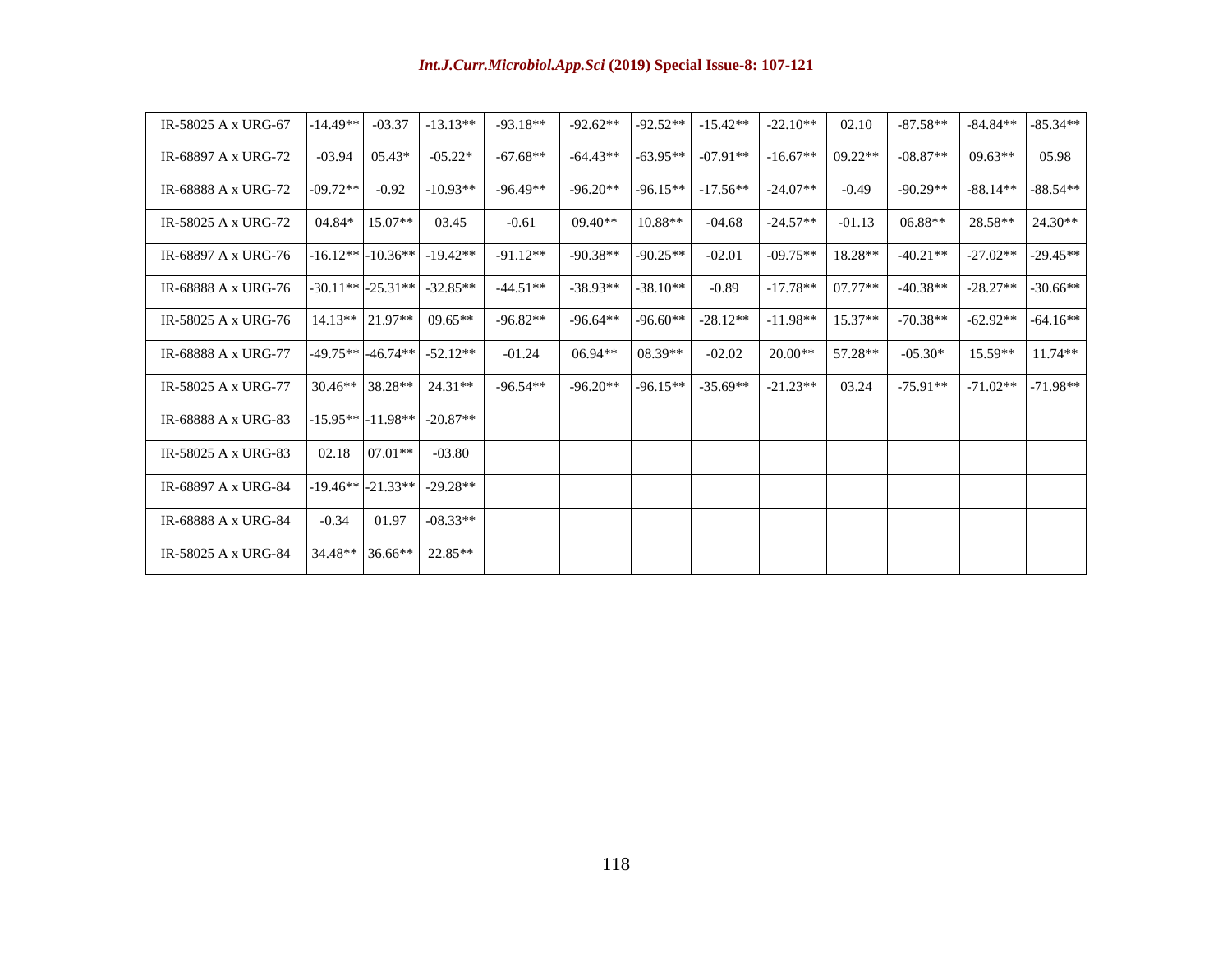| IR-58025 A x URG-67 | $-14.49**$ | $-03.37$              | $-13.13**$ | $-93.18**$ | $-92.62**$ | $-92.52**$ | $-15.42**$ | $-22.10**$ | 02.10     | $-87.58**$ | $-84.84**$ | $-85.34**$ |
|---------------------|------------|-----------------------|------------|------------|------------|------------|------------|------------|-----------|------------|------------|------------|
| IR-68897 A x URG-72 | $-03.94$   | $05.43*$              | $-05.22*$  | $-67.68**$ | $-64.43**$ | $-63.95**$ | $-07.91**$ | $-16.67**$ | $09.22**$ | $-08.87**$ | $09.63**$  | 05.98      |
| IR-68888 A x URG-72 | $-09.72**$ | $-0.92$               | $-10.93**$ | $-96.49**$ | $-96.20**$ | $-96.15**$ | $-17.56**$ | $-24.07**$ | $-0.49$   | $-90.29**$ | $-88.14**$ | $-88.54**$ |
| IR-58025 A x URG-72 | 04.84*     | $15.07**$             | 03.45      | $-0.61$    | $09.40**$  | $10.88**$  | $-04.68$   | $-24.57**$ | $-01.13$  | $06.88**$  | 28.58**    | $24.30**$  |
| IR-68897 A x URG-76 |            | $-16.12**$ $-10.36**$ | $-19.42**$ | $-91.12**$ | $-90.38**$ | $-90.25**$ | $-02.01$   | $-09.75**$ | 18.28**   | $-40.21**$ | $-27.02**$ | $-29.45**$ |
| IR-68888 A x URG-76 |            | $-30.11**$ $-25.31**$ | $-32.85**$ | $-44.51**$ | $-38.93**$ | $-38.10**$ | $-0.89$    | $-17.78**$ | $07.77**$ | $-40.38**$ | $-28.27**$ | $-30.66**$ |
| IR-58025 A x URG-76 | $14.13**$  | $21.97**$             | $09.65**$  | $-96.82**$ | $-96.64**$ | $-96.60**$ | $-28.12**$ | $-11.98**$ | $15.37**$ | $-70.38**$ | $-62.92**$ | $-64.16**$ |
| IR-68888 A x URG-77 |            |                       | $-52.12**$ | $-01.24$   | $06.94**$  | $08.39**$  | $-02.02$   | $20.00**$  | 57.28**   | $-05.30*$  | $15.59**$  | $11.74**$  |
| IR-58025 A x URG-77 | $30.46**$  | 38.28**               | $24.31**$  | $-96.54**$ | $-96.20**$ | $-96.15**$ | $-35.69**$ | $-21.23**$ | 03.24     | $-75.91**$ | $-71.02**$ | $-71.98**$ |
| IR-68888 A x URG-83 |            | -15.95** -11.98**     | $-20.87**$ |            |            |            |            |            |           |            |            |            |
| IR-58025 A x URG-83 | 02.18      | $07.01**$             | $-03.80$   |            |            |            |            |            |           |            |            |            |
| IR-68897 A x URG-84 |            | $-19.46**$ $-21.33**$ | $-29.28**$ |            |            |            |            |            |           |            |            |            |
| IR-68888 A x URG-84 | $-0.34$    | 01.97                 | $-08.33**$ |            |            |            |            |            |           |            |            |            |
| IR-58025 A x URG-84 | 34.48**    | 36.66**               | 22.85**    |            |            |            |            |            |           |            |            |            |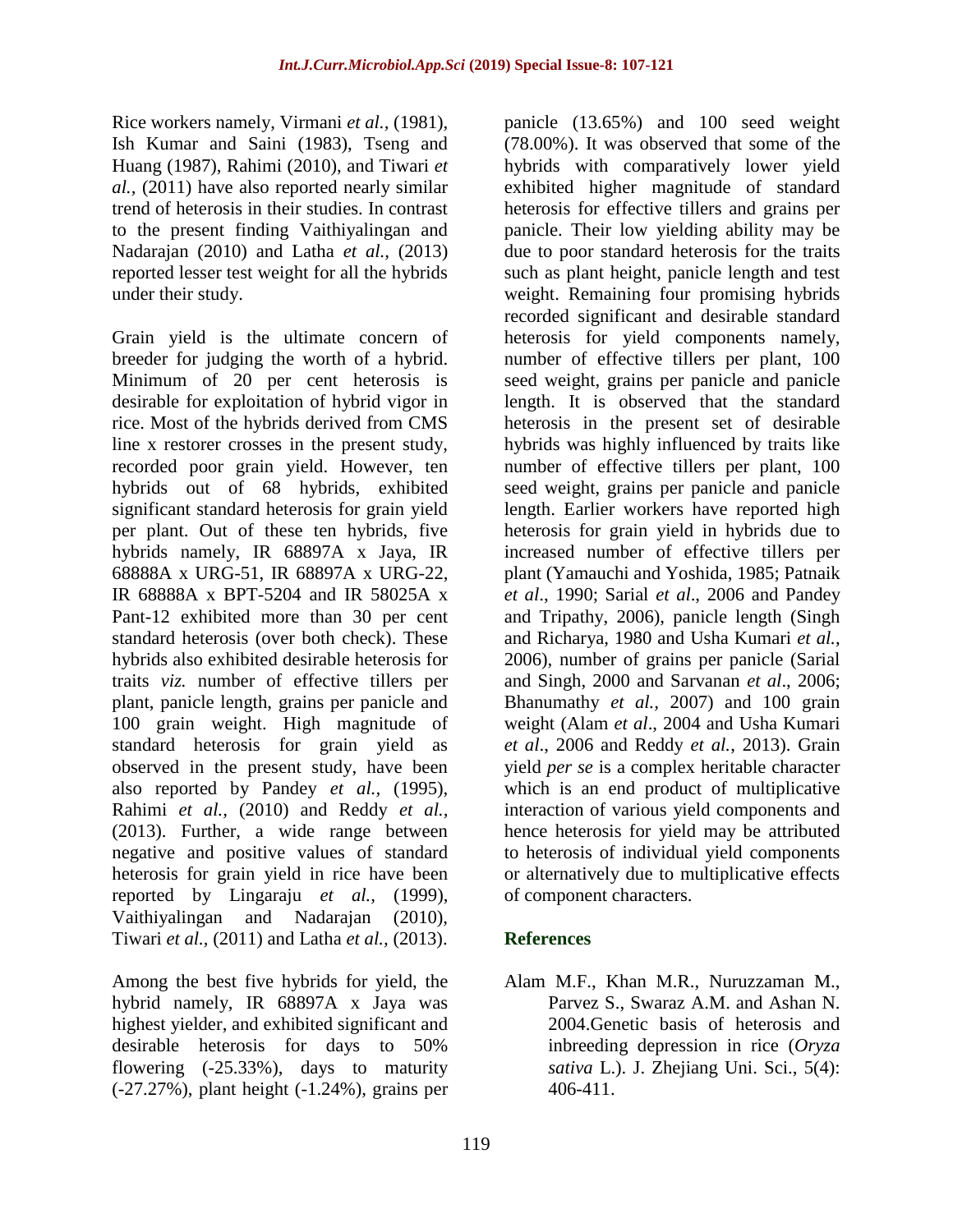Rice workers namely, Virmani *et al.,* (1981), Ish Kumar and Saini (1983), Tseng and Huang (1987), Rahimi (2010), and Tiwari *et al.,* (2011) have also reported nearly similar trend of heterosis in their studies. In contrast to the present finding Vaithiyalingan and Nadarajan (2010) and Latha *et al.,* (2013) reported lesser test weight for all the hybrids under their study.

Grain yield is the ultimate concern of breeder for judging the worth of a hybrid. Minimum of 20 per cent heterosis is desirable for exploitation of hybrid vigor in rice. Most of the hybrids derived from CMS line x restorer crosses in the present study, recorded poor grain yield. However, ten hybrids out of 68 hybrids, exhibited significant standard heterosis for grain yield per plant. Out of these ten hybrids, five hybrids namely, IR 68897A x Jaya, IR 68888A x URG-51, IR 68897A x URG-22, IR 68888A x BPT-5204 and IR 58025A x Pant-12 exhibited more than 30 per cent standard heterosis (over both check). These hybrids also exhibited desirable heterosis for traits *viz.* number of effective tillers per plant, panicle length, grains per panicle and 100 grain weight. High magnitude of standard heterosis for grain yield as observed in the present study, have been also reported by Pandey *et al.,* (1995), Rahimi *et al.,* (2010) and Reddy *et al.,*  (2013). Further, a wide range between negative and positive values of standard heterosis for grain yield in rice have been reported by Lingaraju *et al.,* (1999), Vaithiyalingan and Nadarajan (2010), Tiwari *et al.,* (2011) and Latha *et al.,* (2013).

Among the best five hybrids for yield, the hybrid namely, IR 68897A x Jaya was highest yielder, and exhibited significant and desirable heterosis for days to 50% flowering (-25.33%), days to maturity (-27.27%), plant height (-1.24%), grains per

panicle (13.65%) and 100 seed weight (78.00%). It was observed that some of the hybrids with comparatively lower yield exhibited higher magnitude of standard heterosis for effective tillers and grains per panicle. Their low yielding ability may be due to poor standard heterosis for the traits such as plant height, panicle length and test weight. Remaining four promising hybrids recorded significant and desirable standard heterosis for yield components namely, number of effective tillers per plant, 100 seed weight, grains per panicle and panicle length. It is observed that the standard heterosis in the present set of desirable hybrids was highly influenced by traits like number of effective tillers per plant, 100 seed weight, grains per panicle and panicle length. Earlier workers have reported high heterosis for grain yield in hybrids due to increased number of effective tillers per plant (Yamauchi and Yoshida, 1985; Patnaik *et al*., 1990; Sarial *et al*., 2006 and Pandey and Tripathy, 2006), panicle length (Singh and Richarya, 1980 and Usha Kumari *et al.*, 2006), number of grains per panicle (Sarial and Singh, 2000 and Sarvanan *et al*., 2006; Bhanumathy *et al.,* 2007) and 100 grain weight (Alam *et al*., 2004 and Usha Kumari *et al*., 2006 and Reddy *et al.*, 2013). Grain yield *per se* is a complex heritable character which is an end product of multiplicative interaction of various yield components and hence heterosis for yield may be attributed to heterosis of individual yield components or alternatively due to multiplicative effects of component characters.

### **References**

Alam M.F., Khan M.R., Nuruzzaman M., Parvez S., Swaraz A.M. and Ashan N. 2004.Genetic basis of heterosis and inbreeding depression in rice (*Oryza sativa* L.). J. Zhejiang Uni. Sci., 5(4): 406-411.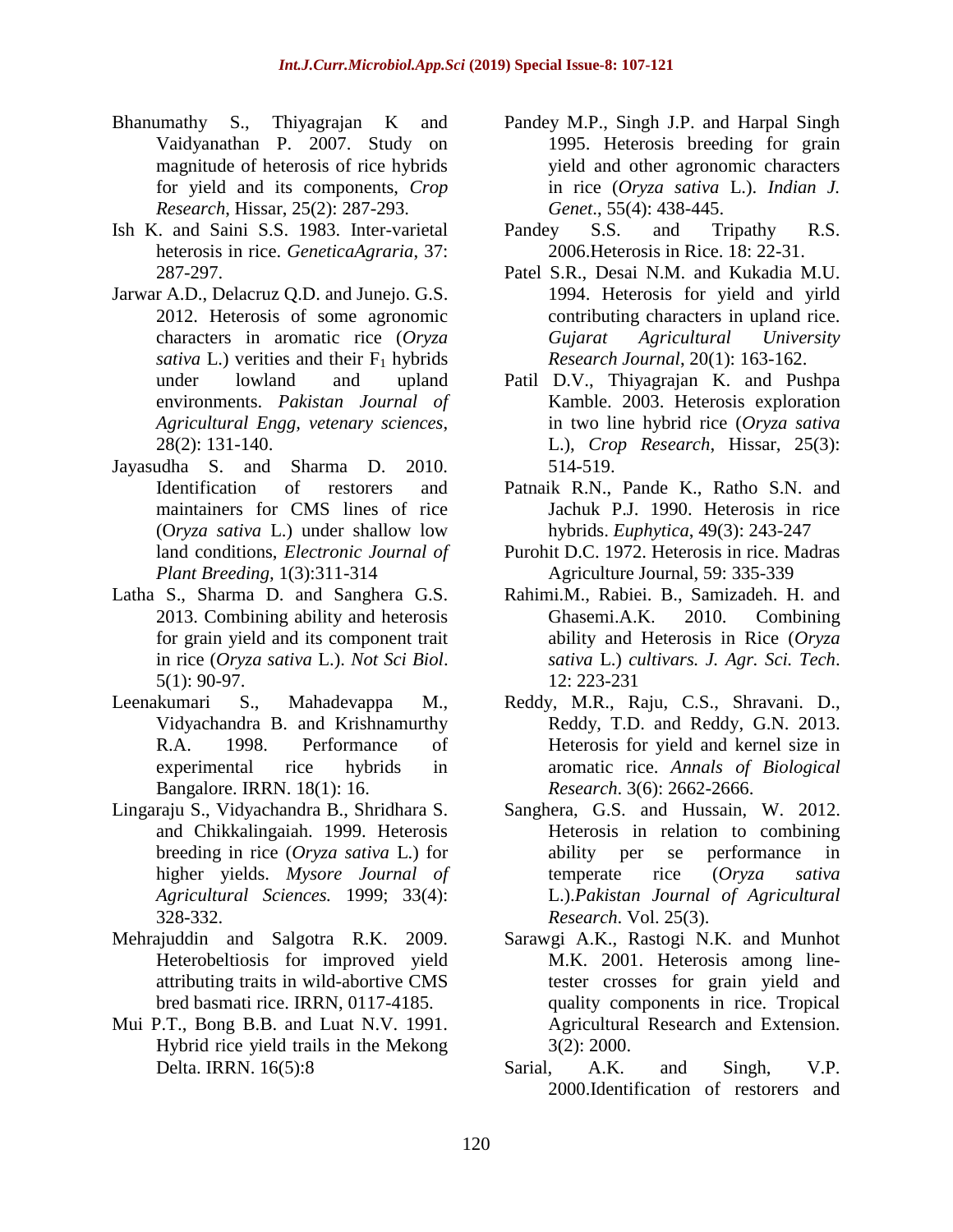- Bhanumathy S., Thiyagrajan K and Vaidyanathan P. 2007. Study on magnitude of heterosis of rice hybrids for yield and its components, *Crop Research*, Hissar, 25(2): 287-293.
- Ish K. and Saini S.S. 1983. Inter-varietal heterosis in rice. *GeneticaAgraria*, 37: 287-297.
- Jarwar A.D., Delacruz Q.D. and Junejo. G.S. 2012. Heterosis of some agronomic characters in aromatic rice (*Oryza sativa* L.) verities and their  $F_1$  hybrids under lowland and upland environments. *Pakistan Journal of Agricultural Engg, vetenary sciences*, 28(2): 131-140.
- Jayasudha S. and Sharma D. 2010. Identification of restorers and maintainers for CMS lines of rice (O*ryza sativa* L.) under shallow low land conditions, *Electronic Journal of Plant Breeding,* 1(3):311-314
- Latha S., Sharma D. and Sanghera G.S. 2013. Combining ability and heterosis for grain yield and its component trait in rice (*Oryza sativa* L.). *Not Sci Biol*. 5(1): 90-97.
- Leenakumari S., Mahadevappa M., Vidyachandra B. and Krishnamurthy R.A. 1998. Performance of experimental rice hybrids in Bangalore. IRRN. 18(1): 16.
- Lingaraju S., Vidyachandra B., Shridhara S. and Chikkalingaiah. 1999. Heterosis breeding in rice (*Oryza sativa* L.) for higher yields. *Mysore Journal of Agricultural Sciences.* 1999; 33(4): 328-332.
- Mehrajuddin and Salgotra R.K. 2009. Heterobeltiosis for improved yield attributing traits in wild-abortive CMS bred basmati rice. IRRN, 0117-4185.
- Mui P.T., Bong B.B. and Luat N.V. 1991. Hybrid rice yield trails in the Mekong Delta. IRRN. 16(5):8
- Pandey M.P., Singh J.P. and Harpal Singh 1995. Heterosis breeding for grain yield and other agronomic characters in rice (*Oryza sativa* L.). *Indian J. Genet*., 55(4): 438-445.
- Pandey S.S. and Tripathy R.S. 2006.Heterosis in Rice. 18: 22-31.
- Patel S.R., Desai N.M. and Kukadia M.U. 1994. Heterosis for yield and yirld contributing characters in upland rice. *Gujarat Agricultural University Research Journal*, 20(1): 163-162.
- Patil D.V., Thiyagrajan K. and Pushpa Kamble. 2003. Heterosis exploration in two line hybrid rice (*Oryza sativa* L.), *Crop Research*, Hissar, 25(3): 514-519.
- Patnaik R.N., Pande K., Ratho S.N. and Jachuk P.J. 1990. Heterosis in rice hybrids. *Euphytica*, 49(3): 243-247
- Purohit D.C. 1972. Heterosis in rice. Madras Agriculture Journal, 59: 335-339
- Rahimi.M., Rabiei. B., Samizadeh. H. and Ghasemi.A.K. 2010. Combining ability and Heterosis in Rice (*Oryza sativa* L.) *cultivars. J. Agr. Sci. Tech*. 12: 223-231
- Reddy, M.R., Raju, C.S., Shravani. D., Reddy, T.D. and Reddy, G.N. 2013. Heterosis for yield and kernel size in aromatic rice. *Annals of Biological Research*. 3(6): 2662-2666.
- Sanghera, G.S. and Hussain, W. 2012. Heterosis in relation to combining ability per se performance in temperate rice (*Oryza sativa* L.).*Pakistan Journal of Agricultural Research*. Vol. 25(3).
- Sarawgi A.K., Rastogi N.K. and Munhot M.K. 2001. Heterosis among linetester crosses for grain yield and quality components in rice. Tropical Agricultural Research and Extension. 3(2): 2000.
- Sarial, A.K. and Singh, V.P. 2000.Identification of restorers and